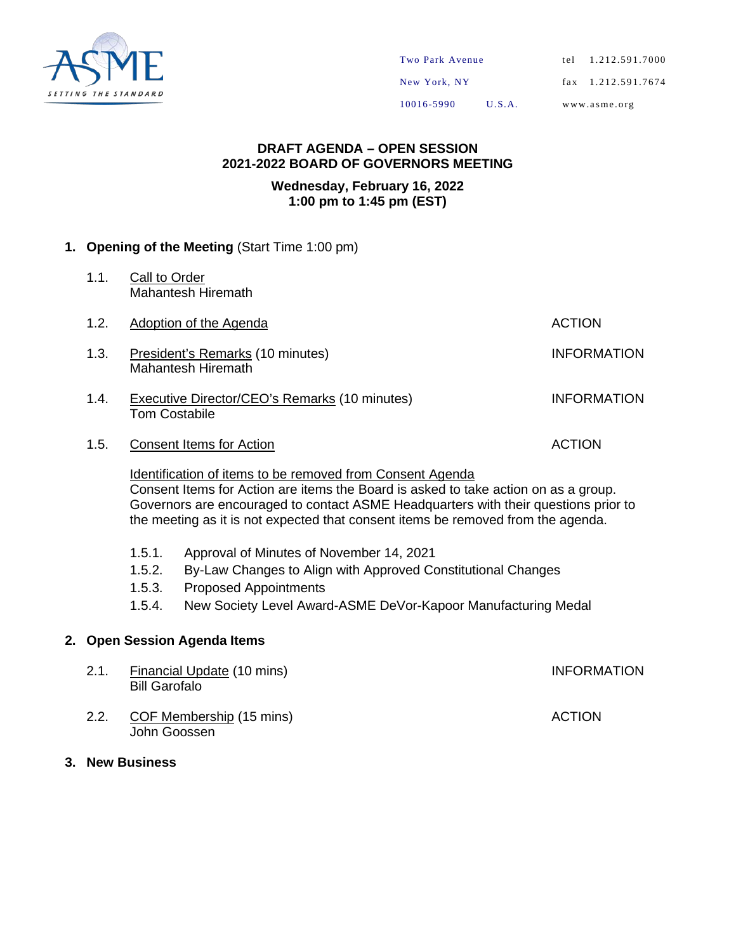

#### **DRAFT AGENDA – OPEN SESSION 2021-2022 BOARD OF GOVERNORS MEETING**

#### **Wednesday, February 16, 2022 1:00 pm to 1:45 pm (EST)**

#### **1. Opening of the Meeting** (Start Time 1:00 pm)

- 1.1. Call to Order Mahantesh Hiremath
- 1.2. Adoption of the Agenda **ACTION**
- 1.3. President's Remarks (10 minutes) **INFORMATION** Mahantesh Hiremath
- 1.4. Executive Director/CEO's Remarks (10 minutes) INFORMATION Tom Costabile
- 1.5. Consent Items for Action **ACTION**

Identification of items to be removed from Consent Agenda Consent Items for Action are items the Board is asked to take action on as a group. Governors are encouraged to contact ASME Headquarters with their questions prior to the meeting as it is not expected that consent items be removed from the agenda.

- 1.5.1. Approval of Minutes of November 14, 2021
- 1.5.2. By-Law Changes to Align with Approved Constitutional Changes
- 1.5.3. Proposed Appointments
- 1.5.4. New Society Level Award-ASME DeVor-Kapoor Manufacturing Medal

#### **2. Open Session Agenda Items**

John Goossen

- 2.1. Financial Update (10 mins) **INFORMATION** Bill Garofalo 2.2. COF Membership (15 mins) ACTION
- **3. New Business**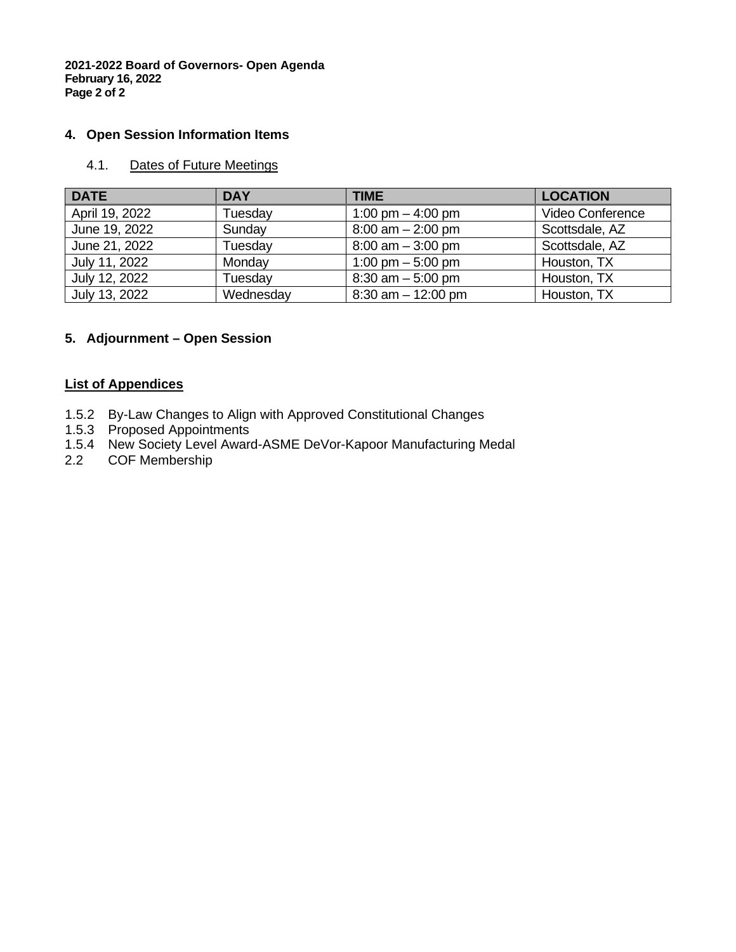**2021-2022 Board of Governors- Open Agenda February 16, 2022 Page 2 of 2**

#### **4. Open Session Information Items**

#### 4.1. Dates of Future Meetings

| <b>DATE</b>    | <b>DAY</b> | TIME                  | <b>LOCATION</b>  |
|----------------|------------|-----------------------|------------------|
| April 19, 2022 | Tuesday    | 1:00 pm $-$ 4:00 pm   | Video Conference |
| June 19, 2022  | Sunday     | $8:00$ am $-2:00$ pm  | Scottsdale, AZ   |
| June 21, 2022  | Tuesday    | $8:00$ am $-3:00$ pm  | Scottsdale, AZ   |
| July 11, 2022  | Monday     | 1:00 pm $-$ 5:00 pm   | Houston, TX      |
| July 12, 2022  | Tuesday    | $8:30$ am $-5:00$ pm  | Houston, TX      |
| July 13, 2022  | Wednesday  | $8:30$ am $-12:00$ pm | Houston, TX      |

#### **5. Adjournment – Open Session**

#### **List of Appendices**

- 1.5.2 By-Law Changes to Align with Approved Constitutional Changes
- 1.5.3 Proposed Appointments
- 1.5.4 New Society Level Award-ASME DeVor-Kapoor Manufacturing Medal<br>2.2 COF Membership
- COF Membership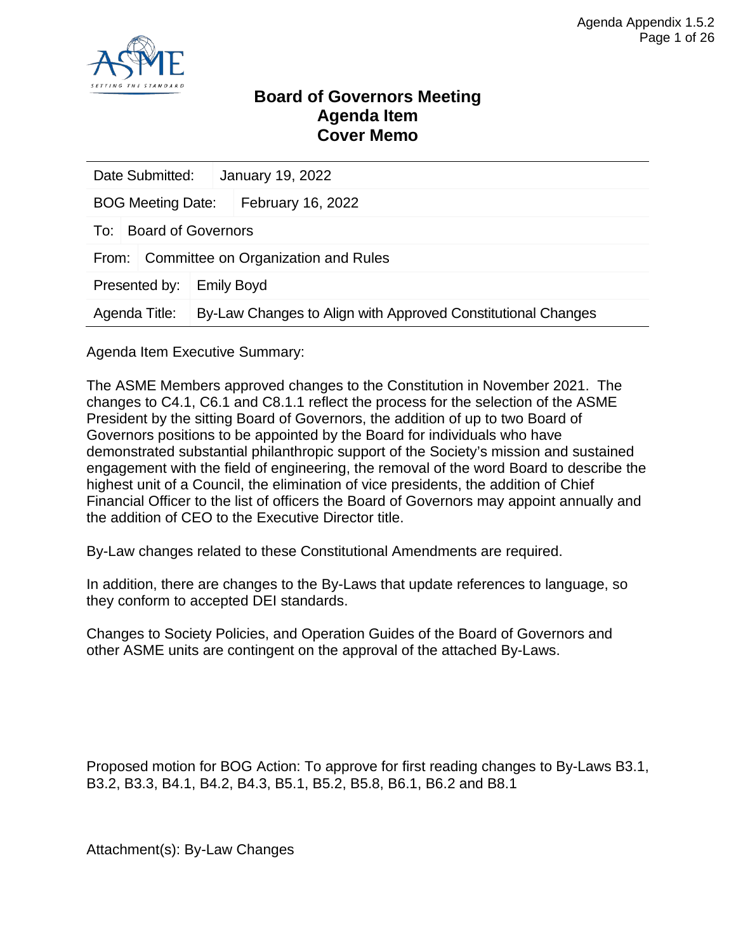

#### **Board of Governors Meeting Agenda Item Cover Memo**

|                                               | Date Submitted:                              |  | January 19, 2022                                             |  |  |
|-----------------------------------------------|----------------------------------------------|--|--------------------------------------------------------------|--|--|
| February 16, 2022<br><b>BOG Meeting Date:</b> |                                              |  |                                                              |  |  |
| To:                                           | <b>Board of Governors</b>                    |  |                                                              |  |  |
|                                               | Committee on Organization and Rules<br>From: |  |                                                              |  |  |
| Presented by:                                 |                                              |  | <b>Emily Boyd</b>                                            |  |  |
| Agenda Title:                                 |                                              |  | By-Law Changes to Align with Approved Constitutional Changes |  |  |

Agenda Item Executive Summary:

The ASME Members approved changes to the Constitution in November 2021. The changes to C4.1, C6.1 and C8.1.1 reflect the process for the selection of the ASME President by the sitting Board of Governors, the addition of up to two Board of Governors positions to be appointed by the Board for individuals who have demonstrated substantial philanthropic support of the Society's mission and sustained engagement with the field of engineering, the removal of the word Board to describe the highest unit of a Council, the elimination of vice presidents, the addition of Chief Financial Officer to the list of officers the Board of Governors may appoint annually and the addition of CEO to the Executive Director title.

By-Law changes related to these Constitutional Amendments are required.

In addition, there are changes to the By-Laws that update references to language, so they conform to accepted DEI standards.

Changes to Society Policies, and Operation Guides of the Board of Governors and other ASME units are contingent on the approval of the attached By-Laws.

Proposed motion for BOG Action: To approve for first reading changes to By-Laws B3.1, B3.2, B3.3, B4.1, B4.2, B4.3, B5.1, B5.2, B5.8, B6.1, B6.2 and B8.1

Attachment(s): By-Law Changes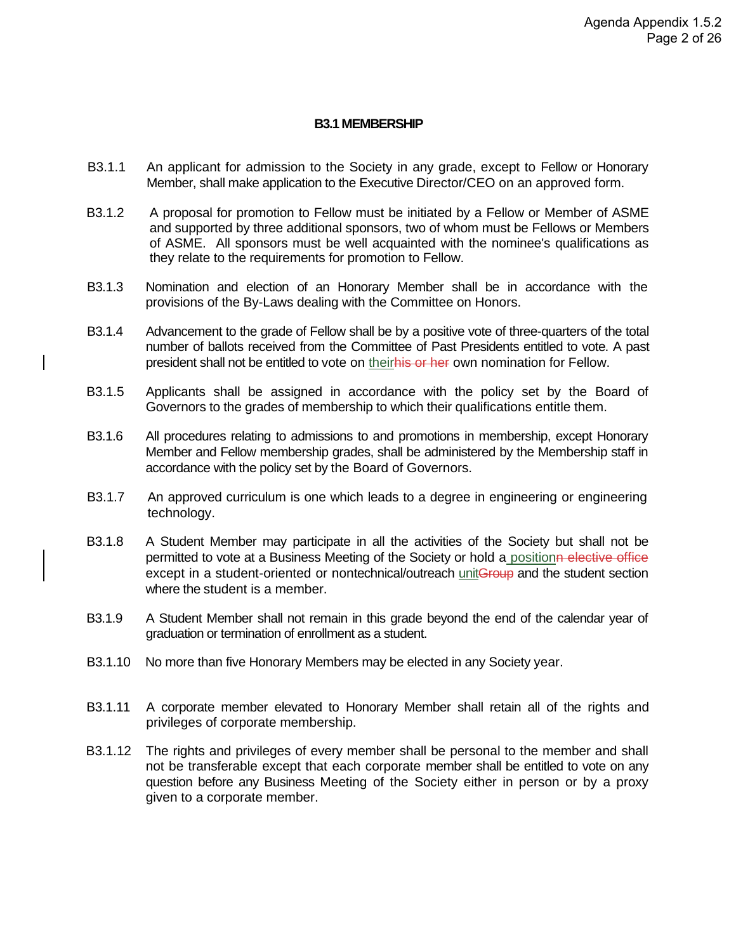#### **B3.1 MEMBERSHIP**

- B3.1.1 An applicant for admission to the Society in any grade, except to Fellow or Honorary Member, shall make application to the Executive Director/CEO on an approved form.
- B3.1.2 A proposal for promotion to Fellow must be initiated by a Fellow or Member of ASME and supported by three additional sponsors, two of whom must be Fellows or Members of ASME. All sponsors must be well acquainted with the nominee's qualifications as they relate to the requirements for promotion to Fellow.
- B3.1.3 Nomination and election of an Honorary Member shall be in accordance with the provisions of the By-Laws dealing with the Committee on Honors.
- B3.1.4 Advancement to the grade of Fellow shall be by a positive vote of three-quarters of the total number of ballots received from the Committee of Past Presidents entitled to vote. A past president shall not be entitled to vote on theirhis or her own nomination for Fellow.
- B3.1.5 Applicants shall be assigned in accordance with the policy set by the Board of Governors to the grades of membership to which their qualifications entitle them.
- B3.1.6 All procedures relating to admissions to and promotions in membership, except Honorary Member and Fellow membership grades, shall be administered by the Membership staff in accordance with the policy set by the Board of Governors.
- B3.1.7 An approved curriculum is one which leads to a degree in engineering or engineering technology.
- B3.1.8 A Student Member may participate in all the activities of the Society but shall not be permitted to vote at a Business Meeting of the Society or hold a positionn elective office except in a student-oriented or nontechnical/outreach unitGroup and the student section where the student is a member.
- B3.1.9 A Student Member shall not remain in this grade beyond the end of the calendar year of graduation or termination of enrollment as a student.
- B3.1.10 No more than five Honorary Members may be elected in any Society year.
- B3.1.11 A corporate member elevated to Honorary Member shall retain all of the rights and privileges of corporate membership.
- B3.1.12 The rights and privileges of every member shall be personal to the member and shall not be transferable except that each corporate member shall be entitled to vote on any question before any Business Meeting of the Society either in person or by a proxy given to a corporate member.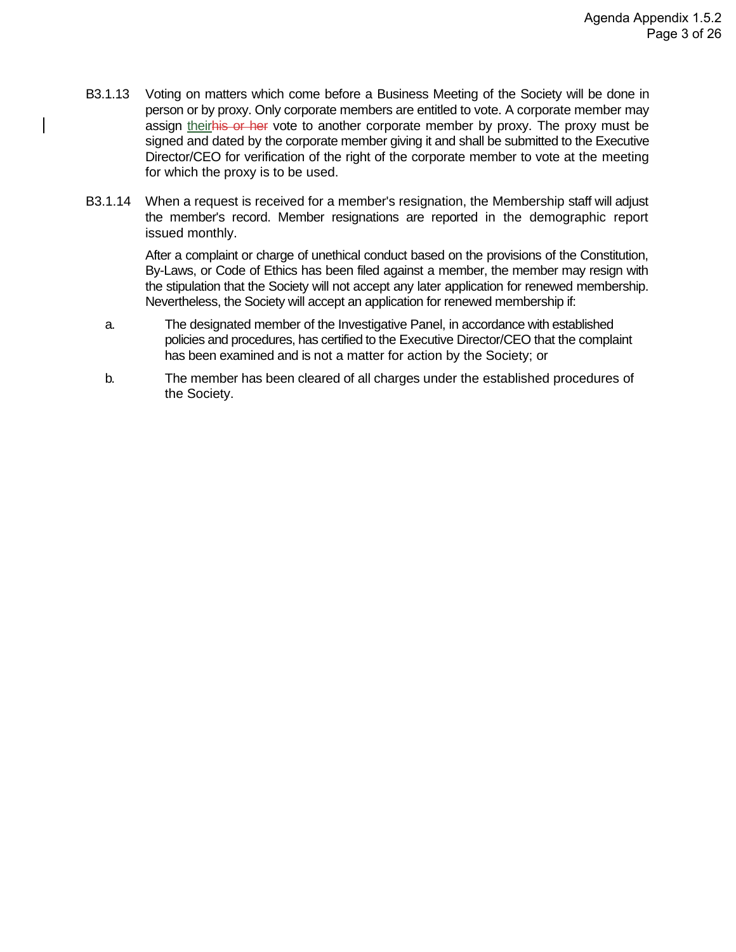- B3.1.13 Voting on matters which come before a Business Meeting of the Society will be done in person or by proxy. Only corporate members are entitled to vote. A corporate member may assign theirhis or her vote to another corporate member by proxy. The proxy must be signed and dated by the corporate member giving it and shall be submitted to the Executive Director/CEO for verification of the right of the corporate member to vote at the meeting for which the proxy is to be used.
- B3.1.14 When a request is received for a member's resignation, the Membership staff will adjust the member's record. Member resignations are reported in the demographic report issued monthly.

After a complaint or charge of unethical conduct based on the provisions of the Constitution, By-Laws, or Code of Ethics has been filed against a member, the member may resign with the stipulation that the Society will not accept any later application for renewed membership. Nevertheless, the Society will accept an application for renewed membership if:

- a. The designated member of the Investigative Panel, in accordance with established policies and procedures, has certified to the Executive Director/CEO that the complaint has been examined and is not a matter for action by the Society; or
- b. The member has been cleared of all charges under the established procedures of the Society.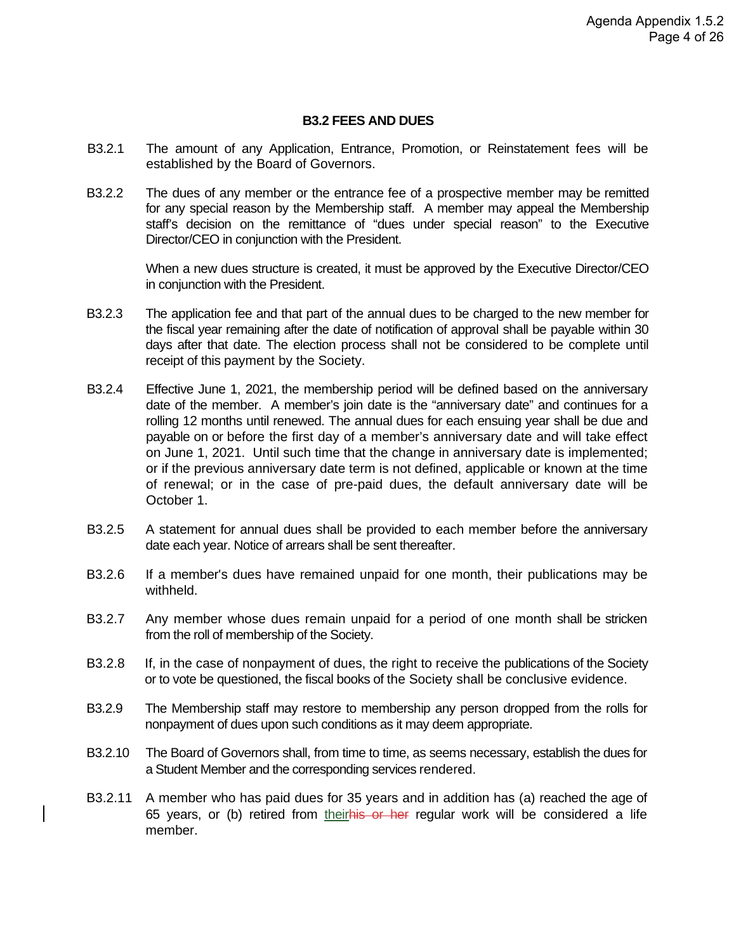#### **B3.2 FEES AND DUES**

- B3.2.1 The amount of any Application, Entrance, Promotion, or Reinstatement fees will be established by the Board of Governors.
- B3.2.2 The dues of any member or the entrance fee of a prospective member may be remitted for any special reason by the Membership staff. A member may appeal the Membership staff's decision on the remittance of "dues under special reason" to the Executive Director/CEO in conjunction with the President.

When a new dues structure is created, it must be approved by the Executive Director/CEO in conjunction with the President.

- B3.2.3 The application fee and that part of the annual dues to be charged to the new member for the fiscal year remaining after the date of notification of approval shall be payable within 30 days after that date. The election process shall not be considered to be complete until receipt of this payment by the Society.
- B3.2.4 Effective June 1, 2021, the membership period will be defined based on the anniversary date of the member. A member's join date is the "anniversary date" and continues for a rolling 12 months until renewed. The annual dues for each ensuing year shall be due and payable on or before the first day of a member's anniversary date and will take effect on June 1, 2021. Until such time that the change in anniversary date is implemented; or if the previous anniversary date term is not defined, applicable or known at the time of renewal; or in the case of pre-paid dues, the default anniversary date will be October 1.
- B3.2.5 A statement for annual dues shall be provided to each member before the anniversary date each year. Notice of arrears shall be sent thereafter.
- B3.2.6 If a member's dues have remained unpaid for one month, their publications may be withheld.
- B3.2.7 Any member whose dues remain unpaid for a period of one month shall be stricken from the roll of membership of the Society.
- B3.2.8 If, in the case of nonpayment of dues, the right to receive the publications of the Society or to vote be questioned, the fiscal books of the Society shall be conclusive evidence.
- B3.2.9 The Membership staff may restore to membership any person dropped from the rolls for nonpayment of dues upon such conditions as it may deem appropriate.
- B3.2.10 The Board of Governors shall, from time to time, as seems necessary, establish the dues for a Student Member and the corresponding services rendered.
- B3.2.11 A member who has paid dues for 35 years and in addition has (a) reached the age of 65 years, or (b) retired from theirhis or her regular work will be considered a life member.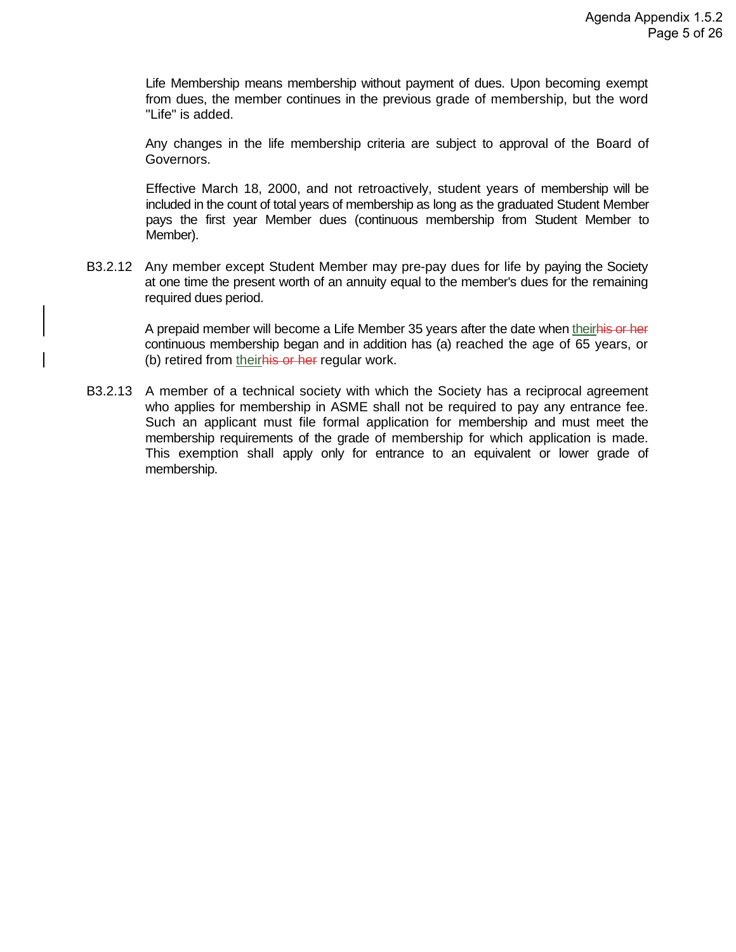Life Membership means membership without payment of dues. Upon becoming exempt from dues, the member continues in the previous grade of membership, but the word "Life" is added.

Any changes in the life membership criteria are subject to approval of the Board of Governors.

Effective March 18, 2000, and not retroactively, student years of membership will be included in the count of total years of membership as long as the graduated Student Member pays the first year Member dues (continuous membership from Student Member to Member).

B3.2.12 Any member except Student Member may pre-pay dues for life by paying the Society at one time the present worth of an annuity equal to the member's dues for the remaining required dues period.

> A prepaid member will become a Life Member 35 years after the date when theirhis or her continuous membership began and in addition has (a) reached the age of 65 years, or (b) retired from their his or her regular work.

B3.2.13 A member of a technical society with which the Society has a reciprocal agreement who applies for membership in ASME shall not be required to pay any entrance fee. Such an applicant must file formal application for membership and must meet the membership requirements of the grade of membership for which application is made. This exemption shall apply only for entrance to an equivalent or lower grade of membership.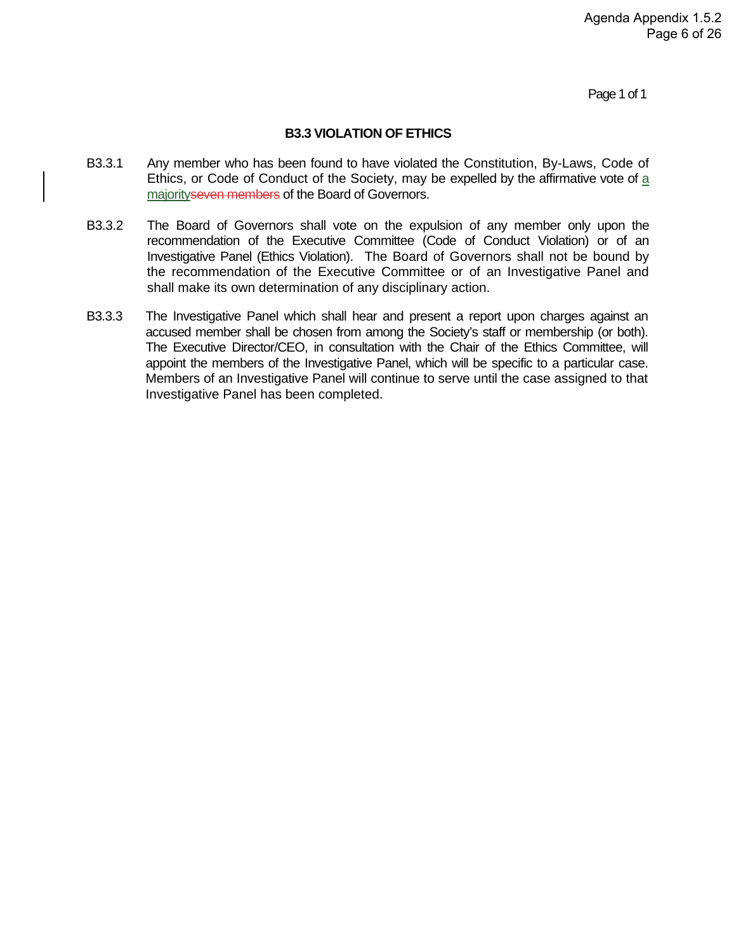Page 1 of 1

#### **B3.3 VIOLATION OF ETHICS**

- B3.3.1 Any member who has been found to have violated the Constitution, By-Laws, Code of Ethics, or Code of Conduct of the Society, may be expelled by the affirmative vote of a majority seven members of the Board of Governors.
- B3.3.2 The Board of Governors shall vote on the expulsion of any member only upon the recommendation of the Executive Committee (Code of Conduct Violation) or of an Investigative Panel (Ethics Violation). The Board of Governors shall not be bound by the recommendation of the Executive Committee or of an Investigative Panel and shall make its own determination of any disciplinary action.
- B3.3.3 The Investigative Panel which shall hear and present a report upon charges against an accused member shall be chosen from among the Society's staff or membership (or both). The Executive Director/CEO, in consultation with the Chair of the Ethics Committee, will appoint the members of the Investigative Panel, which will be specific to a particular case. Members of an Investigative Panel will continue to serve until the case assigned to that Investigative Panel has been completed.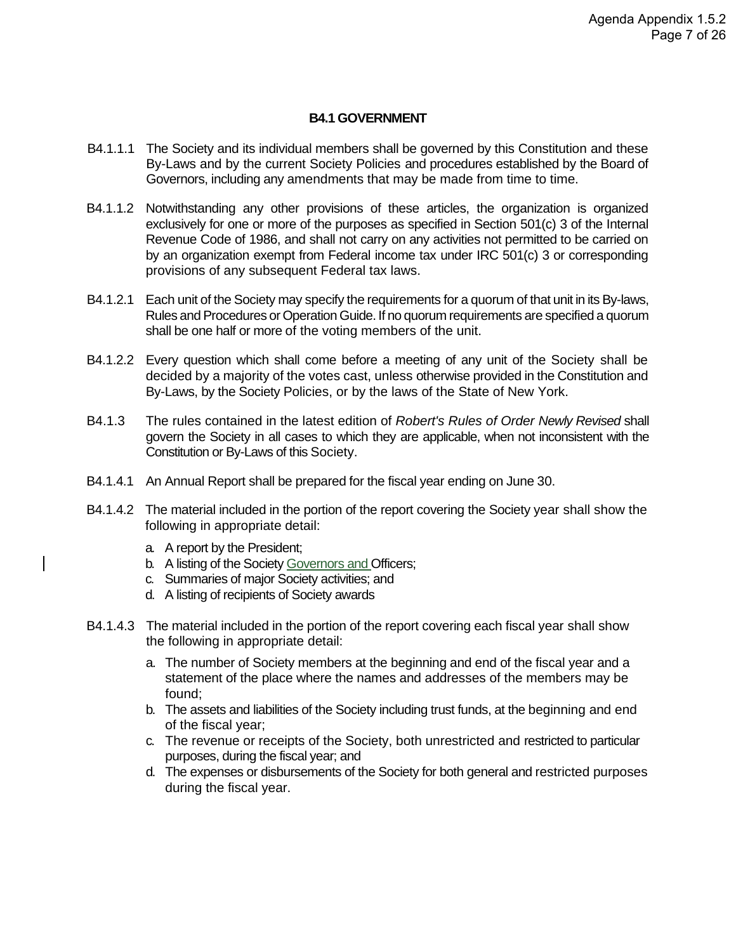#### **B4.1 GOVERNMENT**

- B4.1.1.1 The Society and its individual members shall be governed by this Constitution and these By-Laws and by the current Society Policies and procedures established by the Board of Governors, including any amendments that may be made from time to time.
- B4.1.1.2 Notwithstanding any other provisions of these articles, the organization is organized exclusively for one or more of the purposes as specified in Section 501(c) 3 of the Internal Revenue Code of 1986, and shall not carry on any activities not permitted to be carried on by an organization exempt from Federal income tax under IRC 501(c) 3 or corresponding provisions of any subsequent Federal tax laws.
- B4.1.2.1 Each unit of the Society may specify the requirements for a quorum of that unit in its By-laws, Rules and Procedures or Operation Guide. If no quorum requirements are specified a quorum shall be one half or more of the voting members of the unit.
- B4.1.2.2 Every question which shall come before a meeting of any unit of the Society shall be decided by a majority of the votes cast, unless otherwise provided in the Constitution and By-Laws, by the Society Policies, or by the laws of the State of New York.
- B4.1.3 The rules contained in the latest edition of *Robert's Rules of Order Newly Revised* shall govern the Society in all cases to which they are applicable, when not inconsistent with the Constitution or By-Laws of this Society.
- B4.1.4.1 An Annual Report shall be prepared for the fiscal year ending on June 30.
- B4.1.4.2 The material included in the portion of the report covering the Society year shall show the following in appropriate detail:
	- a. A report by the President;
	- b. A listing of the Society Governors and Officers;
	- c. Summaries of major Society activities; and
	- d. A listing of recipients of Society awards
- B4.1.4.3 The material included in the portion of the report covering each fiscal year shall show the following in appropriate detail:
	- a. The number of Society members at the beginning and end of the fiscal year and a statement of the place where the names and addresses of the members may be found;
	- b. The assets and liabilities of the Society including trust funds, at the beginning and end of the fiscal year;
	- c. The revenue or receipts of the Society, both unrestricted and restricted to particular purposes, during the fiscal year; and
	- d. The expenses or disbursements of the Society for both general and restricted purposes during the fiscal year.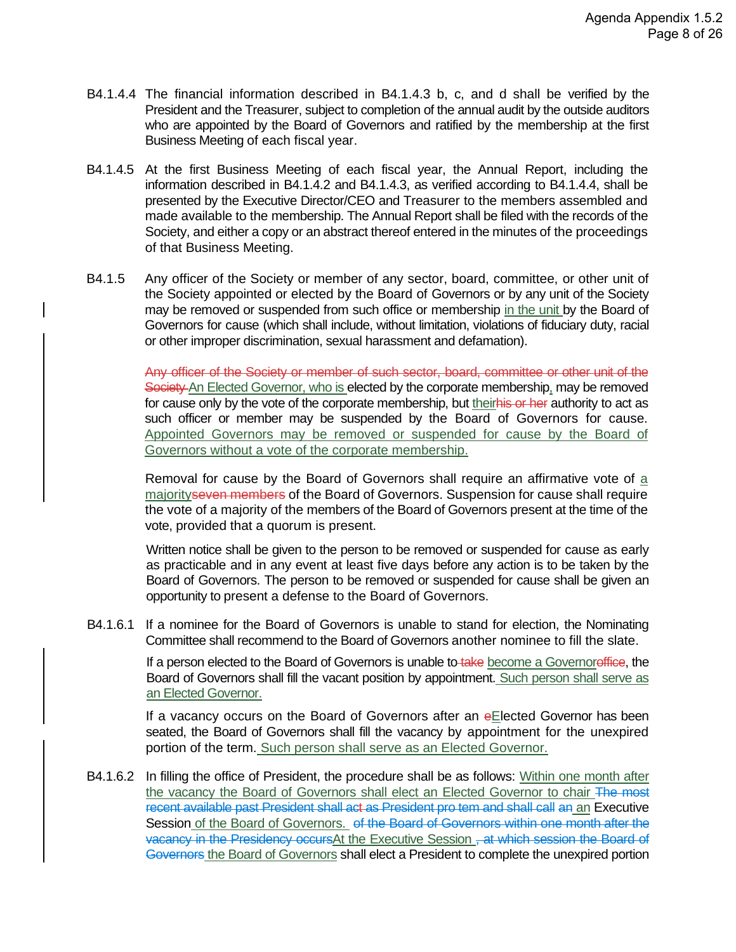- B4.1.4.4 The financial information described in B4.1.4.3 b, c, and d shall be verified by the President and the Treasurer, subject to completion of the annual audit by the outside auditors who are appointed by the Board of Governors and ratified by the membership at the first Business Meeting of each fiscal year.
- B4.1.4.5 At the first Business Meeting of each fiscal year, the Annual Report, including the information described in B4.1.4.2 and B4.1.4.3, as verified according to B4.1.4.4, shall be presented by the Executive Director/CEO and Treasurer to the members assembled and made available to the membership. The Annual Report shall be filed with the records of the Society, and either a copy or an abstract thereof entered in the minutes of the proceedings of that Business Meeting.
- B4.1.5 Any officer of the Society or member of any sector, board, committee, or other unit of the Society appointed or elected by the Board of Governors or by any unit of the Society may be removed or suspended from such office or membership in the unit by the Board of Governors for cause (which shall include, without limitation, violations of fiduciary duty, racial or other improper discrimination, sexual harassment and defamation).

Any officer of the Society or member of such sector, board, committee or other unit of the Society An Elected Governor, who is elected by the corporate membership, may be removed for cause only by the vote of the corporate membership, but theirhis or her authority to act as such officer or member may be suspended by the Board of Governors for cause. Appointed Governors may be removed or suspended for cause by the Board of Governors without a vote of the corporate membership.

Removal for cause by the Board of Governors shall require an affirmative vote of a majorityseven members of the Board of Governors. Suspension for cause shall require the vote of a majority of the members of the Board of Governors present at the time of the vote, provided that a quorum is present.

Written notice shall be given to the person to be removed or suspended for cause as early as practicable and in any event at least five days before any action is to be taken by the Board of Governors. The person to be removed or suspended for cause shall be given an opportunity to present a defense to the Board of Governors.

B4.1.6.1 If a nominee for the Board of Governors is unable to stand for election, the Nominating Committee shall recommend to the Board of Governors another nominee to fill the slate.

> If a person elected to the Board of Governors is unable to take become a Governoreffice, the Board of Governors shall fill the vacant position by appointment. Such person shall serve as an Elected Governor.

> If a vacancy occurs on the Board of Governors after an eElected Governor has been seated, the Board of Governors shall fill the vacancy by appointment for the unexpired portion of the term. Such person shall serve as an Elected Governor.

B4.1.6.2 In filling the office of President, the procedure shall be as follows: Within one month after the vacancy the Board of Governors shall elect an Elected Governor to chair The most recent available past President shall act as President pro tem and shall call an an Executive Session of the Board of Governors. of the Board of Governors within one month after the vacancy in the Presidency occursAt the Executive Session, at which session the Board of Governors the Board of Governors shall elect a President to complete the unexpired portion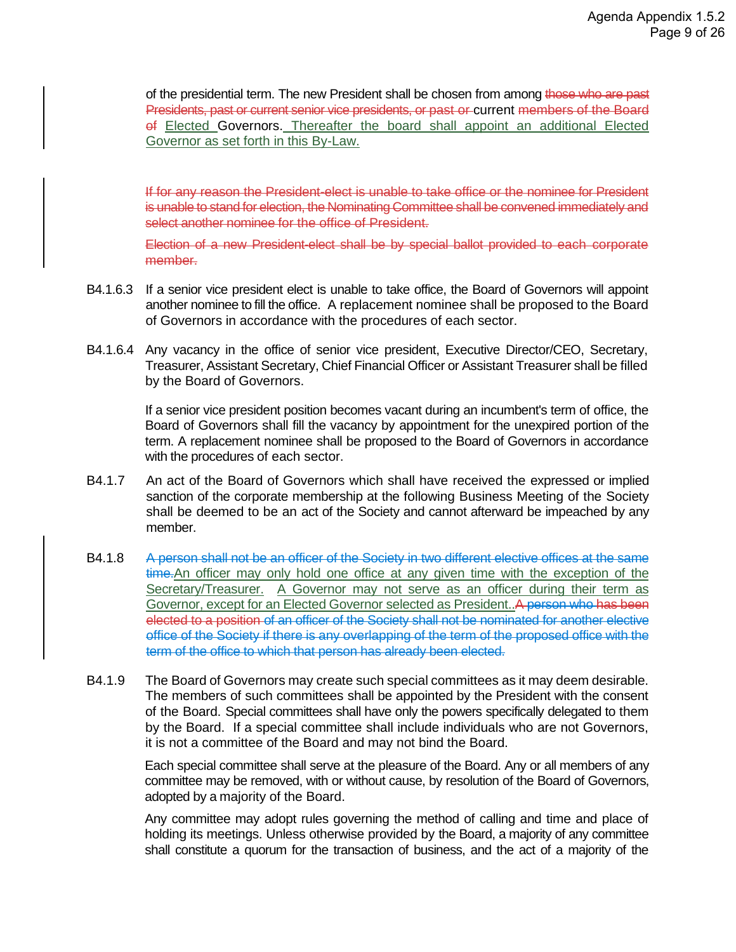of the presidential term. The new President shall be chosen from among those who are past Presidents, past or current senior vice presidents, or past or current members of the Board of Elected Governors. Thereafter the board shall appoint an additional Elected Governor as set forth in this By-Law.

If for any reason the President-elect is unable to take office or the nominee for President is unable to stand for election, the Nominating Committee shall be convened immediately and select another nominee for the office of President.

Election of a new President-elect shall be by special ballot provided to each corporate member.

- B4.1.6.3 If a senior vice president elect is unable to take office, the Board of Governors will appoint another nominee to fill the office. A replacement nominee shall be proposed to the Board of Governors in accordance with the procedures of each sector.
- B4.1.6.4 Any vacancy in the office of senior vice president, Executive Director/CEO, Secretary, Treasurer, Assistant Secretary, Chief Financial Officer or Assistant Treasurer shall be filled by the Board of Governors.

If a senior vice president position becomes vacant during an incumbent's term of office, the Board of Governors shall fill the vacancy by appointment for the unexpired portion of the term. A replacement nominee shall be proposed to the Board of Governors in accordance with the procedures of each sector.

- B4.1.7 An act of the Board of Governors which shall have received the expressed or implied sanction of the corporate membership at the following Business Meeting of the Society shall be deemed to be an act of the Society and cannot afterward be impeached by any member.
- B4.1.8 A person shall not be an officer of the Society in two different elective offices at the same time. An officer may only hold one office at any given time with the exception of the Secretary/Treasurer. A Governor may not serve as an officer during their term as Governor, except for an Elected Governor selected as President..A person who has been elected to a position of an officer of the Society shall not be nominated for another elective office of the Society if there is any overlapping of the term of the proposed office with the term of the office to which that person has already been elected.
- B4.1.9 The Board of Governors may create such special committees as it may deem desirable. The members of such committees shall be appointed by the President with the consent of the Board. Special committees shall have only the powers specifically delegated to them by the Board. If a special committee shall include individuals who are not Governors, it is not a committee of the Board and may not bind the Board.

Each special committee shall serve at the pleasure of the Board. Any or all members of any committee may be removed, with or without cause, by resolution of the Board of Governors, adopted by a majority of the Board.

Any committee may adopt rules governing the method of calling and time and place of holding its meetings. Unless otherwise provided by the Board, a majority of any committee shall constitute a quorum for the transaction of business, and the act of a majority of the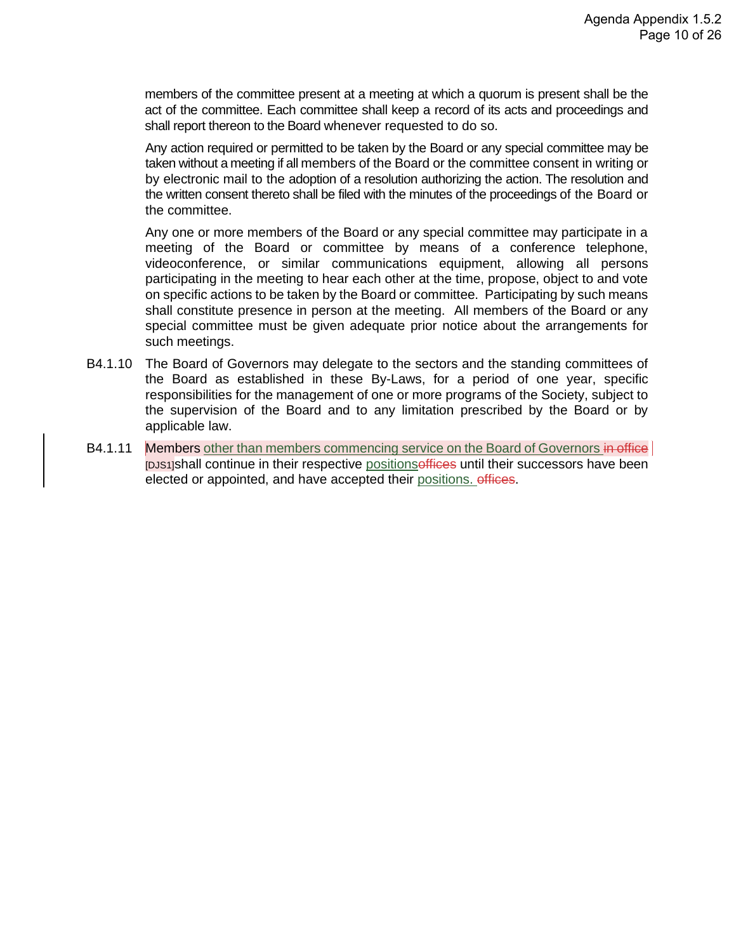members of the committee present at a meeting at which a quorum is present shall be the act of the committee. Each committee shall keep a record of its acts and proceedings and shall report thereon to the Board whenever requested to do so.

Any action required or permitted to be taken by the Board or any special committee may be taken without a meeting if all members of the Board or the committee consent in writing or by electronic mail to the adoption of a resolution authorizing the action. The resolution and the written consent thereto shall be filed with the minutes of the proceedings of the Board or the committee.

Any one or more members of the Board or any special committee may participate in a meeting of the Board or committee by means of a conference telephone, videoconference, or similar communications equipment, allowing all persons participating in the meeting to hear each other at the time, propose, object to and vote on specific actions to be taken by the Board or committee. Participating by such means shall constitute presence in person at the meeting. All members of the Board or any special committee must be given adequate prior notice about the arrangements for such meetings.

- B4.1.10 The Board of Governors may delegate to the sectors and the standing committees of the Board as established in these By-Laws, for a period of one year, specific responsibilities for the management of one or more programs of the Society, subject to the supervision of the Board and to any limitation prescribed by the Board or by applicable law.
- B4.1.11 Members other than members commencing service on the Board of Governors in office [DJS1]shall continue in their respective positionsoffices until their successors have been elected or appointed, and have accepted their positions. offices.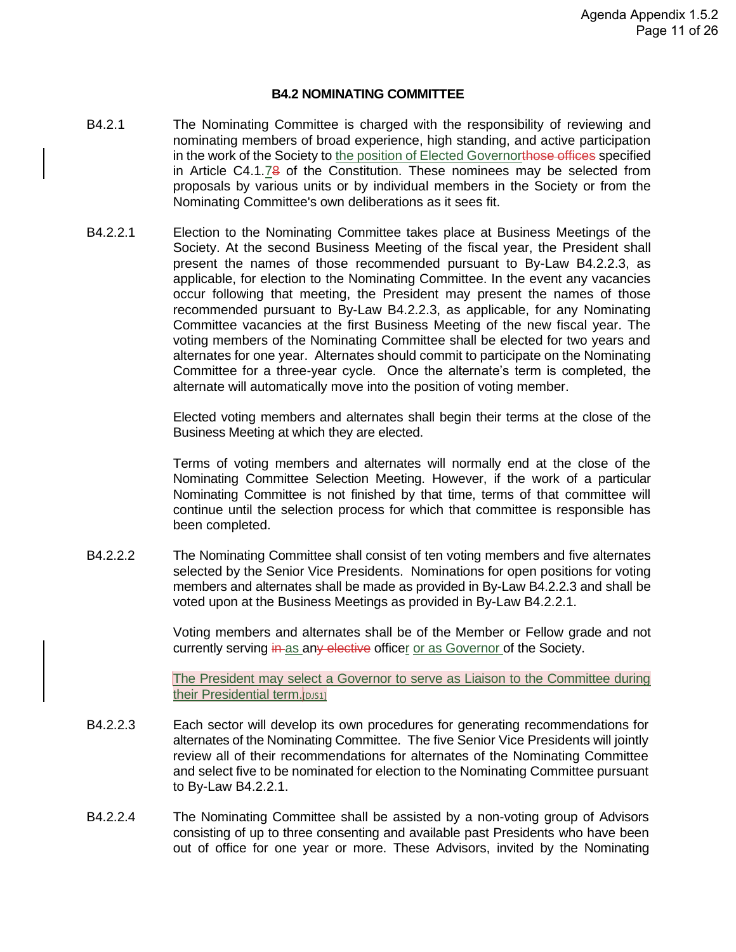#### **B4.2 NOMINATING COMMITTEE**

- B4.2.1 The Nominating Committee is charged with the responsibility of reviewing and nominating members of broad experience, high standing, and active participation in the work of the Society to the position of Elected Governorthose offices specified in Article C4.1.78 of the Constitution. These nominees may be selected from proposals by various units or by individual members in the Society or from the Nominating Committee's own deliberations as it sees fit.
- B4.2.2.1 Election to the Nominating Committee takes place at Business Meetings of the Society. At the second Business Meeting of the fiscal year, the President shall present the names of those recommended pursuant to By-Law B4.2.2.3, as applicable, for election to the Nominating Committee. In the event any vacancies occur following that meeting, the President may present the names of those recommended pursuant to By-Law B4.2.2.3, as applicable, for any Nominating Committee vacancies at the first Business Meeting of the new fiscal year. The voting members of the Nominating Committee shall be elected for two years and alternates for one year. Alternates should commit to participate on the Nominating Committee for a three-year cycle. Once the alternate's term is completed, the alternate will automatically move into the position of voting member.

Elected voting members and alternates shall begin their terms at the close of the Business Meeting at which they are elected.

Terms of voting members and alternates will normally end at the close of the Nominating Committee Selection Meeting. However, if the work of a particular Nominating Committee is not finished by that time, terms of that committee will continue until the selection process for which that committee is responsible has been completed.

B4.2.2.2 The Nominating Committee shall consist of ten voting members and five alternates selected by the Senior Vice Presidents. Nominations for open positions for voting members and alternates shall be made as provided in By-Law B4.2.2.3 and shall be voted upon at the Business Meetings as provided in By-Law B4.2.2.1.

> Voting members and alternates shall be of the Member or Fellow grade and not currently serving in as any elective officer or as Governor of the Society.

> The President may select a Governor to serve as Liaison to the Committee during their Presidential term. DJS1]

- B4.2.2.3 Each sector will develop its own procedures for generating recommendations for alternates of the Nominating Committee. The five Senior Vice Presidents will jointly review all of their recommendations for alternates of the Nominating Committee and select five to be nominated for election to the Nominating Committee pursuant to By-Law B4.2.2.1.
- B4.2.2.4 The Nominating Committee shall be assisted by a non-voting group of Advisors consisting of up to three consenting and available past Presidents who have been out of office for one year or more. These Advisors, invited by the Nominating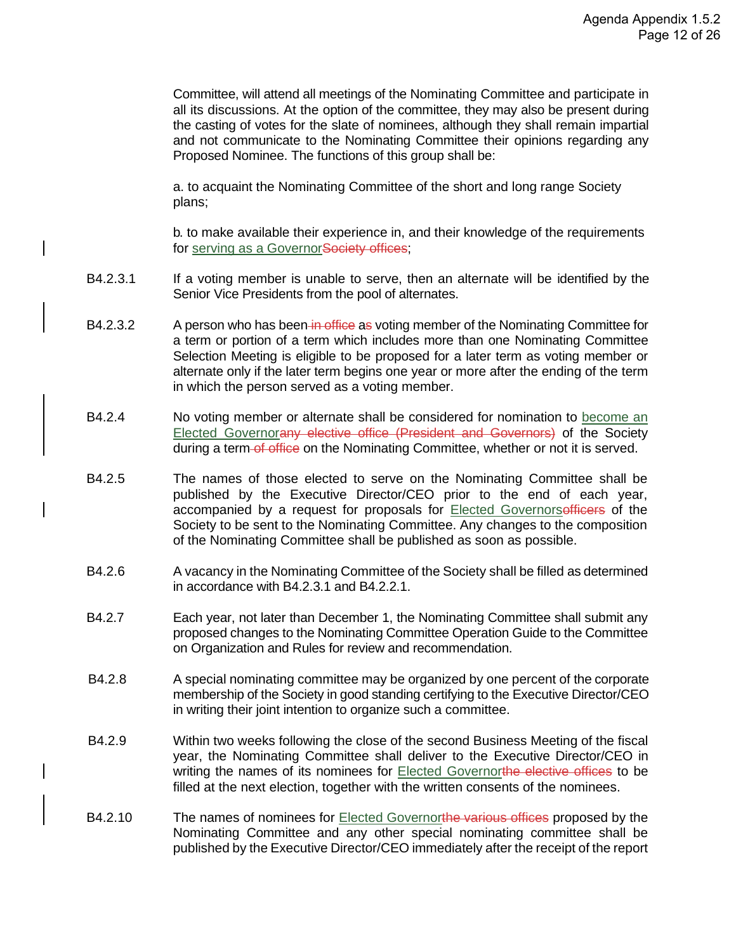Committee, will attend all meetings of the Nominating Committee and participate in all its discussions. At the option of the committee, they may also be present during the casting of votes for the slate of nominees, although they shall remain impartial and not communicate to the Nominating Committee their opinions regarding any Proposed Nominee. The functions of this group shall be:

a. to acquaint the Nominating Committee of the short and long range Society plans;

b. to make available their experience in, and their knowledge of the requirements for serving as a GovernorSociety offices;

- B4.2.3.1 If a voting member is unable to serve, then an alternate will be identified by the Senior Vice Presidents from the pool of alternates.
- B4.2.3.2 A person who has been in office as voting member of the Nominating Committee for a term or portion of a term which includes more than one Nominating Committee Selection Meeting is eligible to be proposed for a later term as voting member or alternate only if the later term begins one year or more after the ending of the term in which the person served as a voting member.
- B4.2.4 No voting member or alternate shall be considered for nomination to become an Elected Governorany elective office (President and Governors) of the Society during a term-of office on the Nominating Committee, whether or not it is served.
- B4.2.5 The names of those elected to serve on the Nominating Committee shall be published by the Executive Director/CEO prior to the end of each year, accompanied by a request for proposals for Elected Governorsefficers of the Society to be sent to the Nominating Committee. Any changes to the composition of the Nominating Committee shall be published as soon as possible.
- B4.2.6 A vacancy in the Nominating Committee of the Society shall be filled as determined in accordance with B4.2.3.1 and B4.2.2.1.
- B4.2.7 Each year, not later than December 1, the Nominating Committee shall submit any proposed changes to the Nominating Committee Operation Guide to the Committee on Organization and Rules for review and recommendation.
- B4.2.8 A special nominating committee may be organized by one percent of the corporate membership of the Society in good standing certifying to the Executive Director/CEO in writing their joint intention to organize such a committee.
- B4.2.9 Within two weeks following the close of the second Business Meeting of the fiscal year, the Nominating Committee shall deliver to the Executive Director/CEO in writing the names of its nominees for **Elected Governorthe elective offices** to be filled at the next election, together with the written consents of the nominees.
- B4.2.10 The names of nominees for Elected Governorthe various offices proposed by the Nominating Committee and any other special nominating committee shall be published by the Executive Director/CEO immediately after the receipt of the report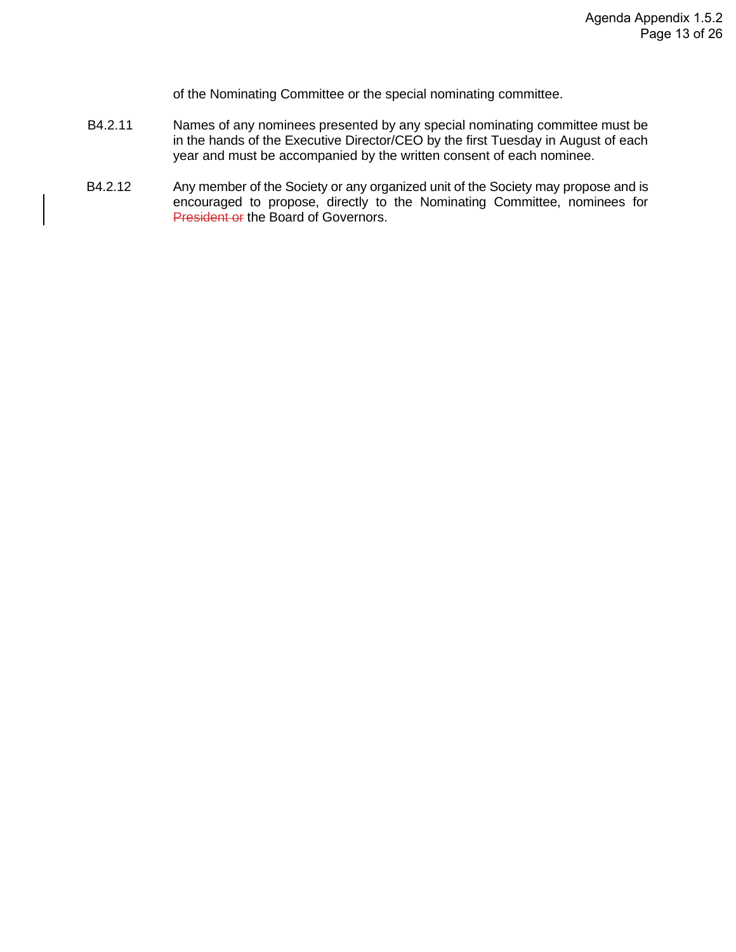of the Nominating Committee or the special nominating committee.

- B4.2.11 Names of any nominees presented by any special nominating committee must be in the hands of the Executive Director/CEO by the first Tuesday in August of each year and must be accompanied by the written consent of each nominee.
- B4.2.12 Any member of the Society or any organized unit of the Society may propose and is encouraged to propose, directly to the Nominating Committee, nominees for President or the Board of Governors.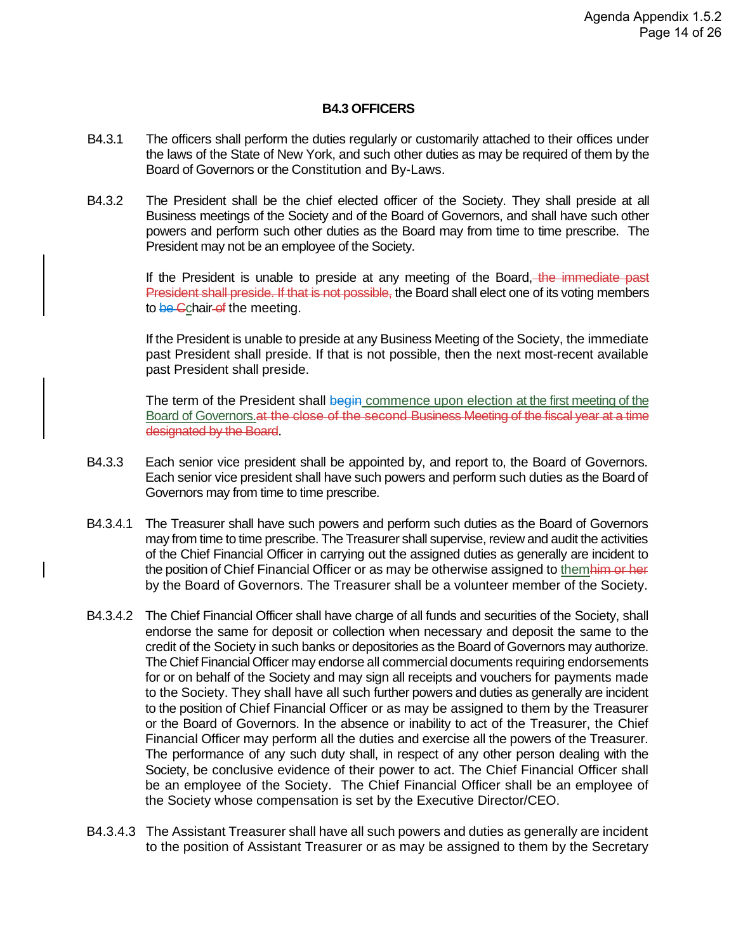#### **B4.3 OFFICERS**

- B4.3.1 The officers shall perform the duties regularly or customarily attached to their offices under the laws of the State of New York, and such other duties as may be required of them by the Board of Governors or the Constitution and By-Laws.
- B4.3.2 The President shall be the chief elected officer of the Society. They shall preside at all Business meetings of the Society and of the Board of Governors, and shall have such other powers and perform such other duties as the Board may from time to time prescribe. The President may not be an employee of the Society.

If the President is unable to preside at any meeting of the Board, the immediate past President shall preside. If that is not possible, the Board shall elect one of its voting members to be Cchair-of the meeting.

If the President is unable to preside at any Business Meeting of the Society, the immediate past President shall preside. If that is not possible, then the next most-recent available past President shall preside.

The term of the President shall begin commence upon election at the first meeting of the Board of Governors. at the close of the second Business Meeting of the fiscal year at a time designated by the Board.

- B4.3.3 Each senior vice president shall be appointed by, and report to, the Board of Governors. Each senior vice president shall have such powers and perform such duties as the Board of Governors may from time to time prescribe.
- B4.3.4.1 The Treasurer shall have such powers and perform such duties as the Board of Governors may from time to time prescribe. The Treasurer shall supervise, review and audit the activities of the Chief Financial Officer in carrying out the assigned duties as generally are incident to the position of Chief Financial Officer or as may be otherwise assigned to themhim or her by the Board of Governors. The Treasurer shall be a volunteer member of the Society.
- B4.3.4.2 The Chief Financial Officer shall have charge of all funds and securities of the Society, shall endorse the same for deposit or collection when necessary and deposit the same to the credit of the Society in such banks or depositories as the Board of Governors may authorize. The Chief Financial Officer may endorse all commercial documents requiring endorsements for or on behalf of the Society and may sign all receipts and vouchers for payments made to the Society. They shall have all such further powers and duties as generally are incident to the position of Chief Financial Officer or as may be assigned to them by the Treasurer or the Board of Governors. In the absence or inability to act of the Treasurer, the Chief Financial Officer may perform all the duties and exercise all the powers of the Treasurer. The performance of any such duty shall, in respect of any other person dealing with the Society, be conclusive evidence of their power to act. The Chief Financial Officer shall be an employee of the Society. The Chief Financial Officer shall be an employee of the Society whose compensation is set by the Executive Director/CEO.
- B4.3.4.3 The Assistant Treasurer shall have all such powers and duties as generally are incident to the position of Assistant Treasurer or as may be assigned to them by the Secretary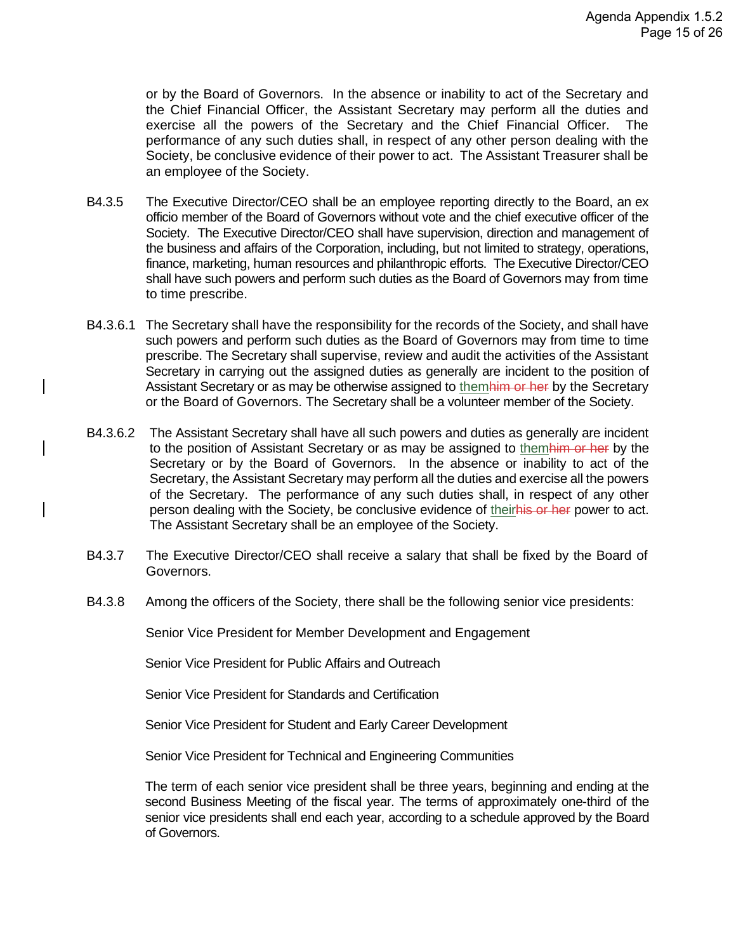or by the Board of Governors. In the absence or inability to act of the Secretary and the Chief Financial Officer, the Assistant Secretary may perform all the duties and exercise all the powers of the Secretary and the Chief Financial Officer. The performance of any such duties shall, in respect of any other person dealing with the Society, be conclusive evidence of their power to act. The Assistant Treasurer shall be an employee of the Society.

- B4.3.5 The Executive Director/CEO shall be an employee reporting directly to the Board, an ex officio member of the Board of Governors without vote and the chief executive officer of the Society. The Executive Director/CEO shall have supervision, direction and management of the business and affairs of the Corporation, including, but not limited to strategy, operations, finance, marketing, human resources and philanthropic efforts. The Executive Director/CEO shall have such powers and perform such duties as the Board of Governors may from time to time prescribe.
- B4.3.6.1 The Secretary shall have the responsibility for the records of the Society, and shall have such powers and perform such duties as the Board of Governors may from time to time prescribe. The Secretary shall supervise, review and audit the activities of the Assistant Secretary in carrying out the assigned duties as generally are incident to the position of Assistant Secretary or as may be otherwise assigned to themhim or her by the Secretary or the Board of Governors. The Secretary shall be a volunteer member of the Society.
- B4.3.6.2 The Assistant Secretary shall have all such powers and duties as generally are incident to the position of Assistant Secretary or as may be assigned to themhim or her by the Secretary or by the Board of Governors. In the absence or inability to act of the Secretary, the Assistant Secretary may perform all the duties and exercise all the powers of the Secretary. The performance of any such duties shall, in respect of any other person dealing with the Society, be conclusive evidence of theirhis or her power to act. The Assistant Secretary shall be an employee of the Society.
- B4.3.7 The Executive Director/CEO shall receive a salary that shall be fixed by the Board of Governors.
- B4.3.8 Among the officers of the Society, there shall be the following senior vice presidents:

Senior Vice President for Member Development and Engagement

Senior Vice President for Public Affairs and Outreach

Senior Vice President for Standards and Certification

Senior Vice President for Student and Early Career Development

Senior Vice President for Technical and Engineering Communities

The term of each senior vice president shall be three years, beginning and ending at the second Business Meeting of the fiscal year. The terms of approximately one-third of the senior vice presidents shall end each year, according to a schedule approved by the Board of Governors.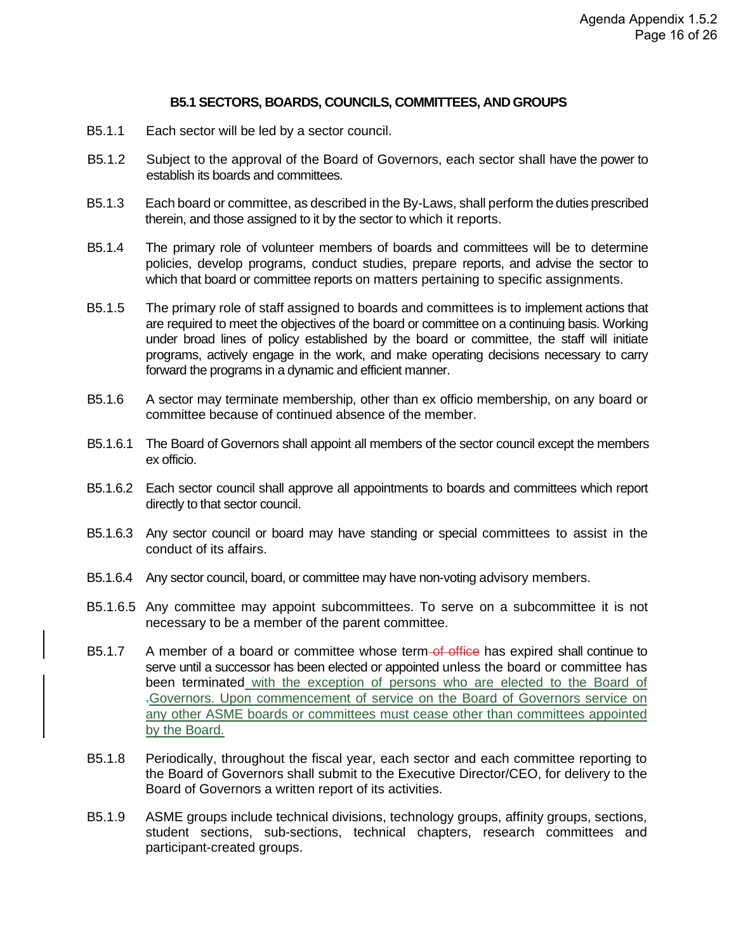#### **B5.1 SECTORS, BOARDS, COUNCILS, COMMITTEES, AND GROUPS**

- B5.1.1 Each sector will be led by a sector council.
- B5.1.2 Subject to the approval of the Board of Governors, each sector shall have the power to establish its boards and committees.
- B5.1.3 Each board or committee, as described in the By-Laws, shall perform the duties prescribed therein, and those assigned to it by the sector to which it reports.
- B5.1.4 The primary role of volunteer members of boards and committees will be to determine policies, develop programs, conduct studies, prepare reports, and advise the sector to which that board or committee reports on matters pertaining to specific assignments.
- B5.1.5 The primary role of staff assigned to boards and committees is to implement actions that are required to meet the objectives of the board or committee on a continuing basis. Working under broad lines of policy established by the board or committee, the staff will initiate programs, actively engage in the work, and make operating decisions necessary to carry forward the programs in a dynamic and efficient manner.
- B5.1.6 A sector may terminate membership, other than ex officio membership, on any board or committee because of continued absence of the member.
- B5.1.6.1 The Board of Governors shall appoint all members of the sector council except the members ex officio.
- B5.1.6.2 Each sector council shall approve all appointments to boards and committees which report directly to that sector council.
- B5.1.6.3 Any sector council or board may have standing or special committees to assist in the conduct of its affairs.
- B5.1.6.4 Any sector council, board, or committee may have non-voting advisory members.
- B5.1.6.5 Any committee may appoint subcommittees. To serve on a subcommittee it is not necessary to be a member of the parent committee.
- B5.1.7 A member of a board or committee whose term-of office has expired shall continue to serve until a successor has been elected or appointed unless the board or committee has been terminated with the exception of persons who are elected to the Board of .Governors. Upon commencement of service on the Board of Governors service on any other ASME boards or committees must cease other than committees appointed by the Board.
- B5.1.8 Periodically, throughout the fiscal year, each sector and each committee reporting to the Board of Governors shall submit to the Executive Director/CEO, for delivery to the Board of Governors a written report of its activities.
- B5.1.9 ASME groups include technical divisions, technology groups, affinity groups, sections, student sections, sub-sections, technical chapters, research committees and participant-created groups.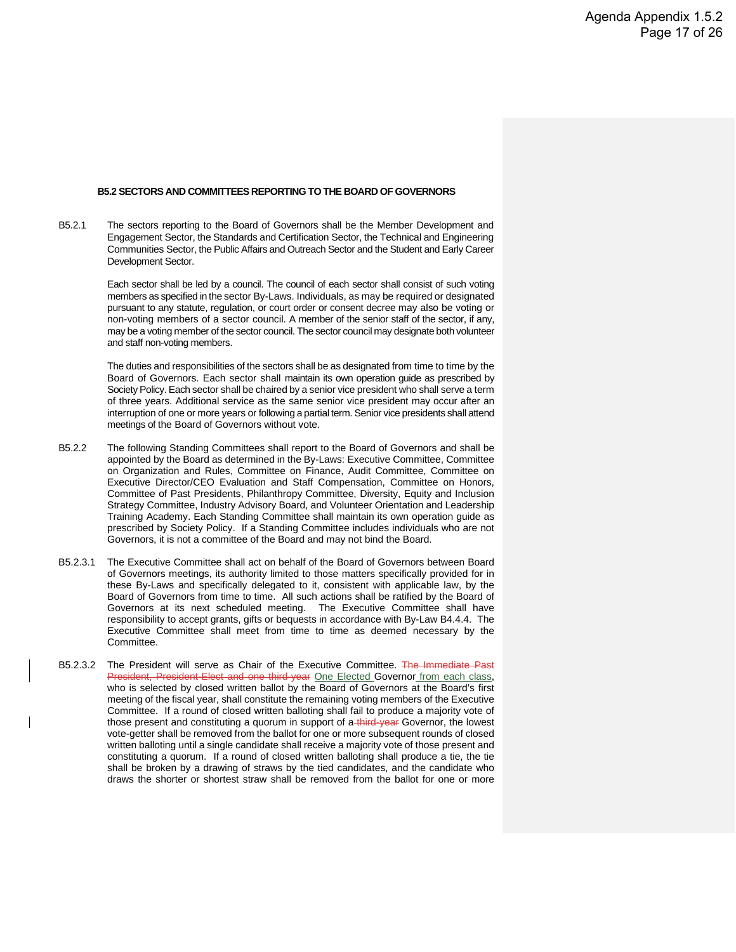#### **B5.2 SECTORS AND COMMITTEES REPORTING TO THE BOARD OF GOVERNORS**

B5.2.1 The sectors reporting to the Board of Governors shall be the Member Development and Engagement Sector, the Standards and Certification Sector, the Technical and Engineering Communities Sector, the Public Affairs and Outreach Sector and the Student and Early Career Development Sector.

> Each sector shall be led by a council. The council of each sector shall consist of such voting members as specified in the sector By-Laws. Individuals, as may be required or designated pursuant to any statute, regulation, or court order or consent decree may also be voting or non-voting members of a sector council. A member of the senior staff of the sector, if any, may be a voting member of the sector council. The sector council may designate both volunteer and staff non-voting members.

> The duties and responsibilities of the sectors shall be as designated from time to time by the Board of Governors. Each sector shall maintain its own operation guide as prescribed by Society Policy. Each sector shall be chaired by a senior vice president who shall serve a term of three years. Additional service as the same senior vice president may occur after an interruption of one or more years or following a partial term. Senior vice presidents shall attend meetings of the Board of Governors without vote.

- B5.2.2 The following Standing Committees shall report to the Board of Governors and shall be appointed by the Board as determined in the By-Laws: Executive Committee, Committee on Organization and Rules, Committee on Finance, Audit Committee, Committee on Executive Director/CEO Evaluation and Staff Compensation, Committee on Honors, Committee of Past Presidents, Philanthropy Committee, Diversity, Equity and Inclusion Strategy Committee, Industry Advisory Board, and Volunteer Orientation and Leadership Training Academy. Each Standing Committee shall maintain its own operation guide as prescribed by Society Policy. If a Standing Committee includes individuals who are not Governors, it is not a committee of the Board and may not bind the Board.
- B5.2.3.1 The Executive Committee shall act on behalf of the Board of Governors between Board of Governors meetings, its authority limited to those matters specifically provided for in these By-Laws and specifically delegated to it, consistent with applicable law, by the Board of Governors from time to time. All such actions shall be ratified by the Board of Governors at its next scheduled meeting. The Executive Committee shall have responsibility to accept grants, gifts or bequests in accordance with By-Law B4.4.4. The Executive Committee shall meet from time to time as deemed necessary by the Committee.
- B5.2.3.2 The President will serve as Chair of the Executive Committee. The Immediate Past President, President-Elect and one third-year One Elected Governor from each class, who is selected by closed written ballot by the Board of Governors at the Board's first meeting of the fiscal year, shall constitute the remaining voting members of the Executive Committee. If a round of closed written balloting shall fail to produce a majority vote of those present and constituting a quorum in support of a third-year Governor, the lowest vote-getter shall be removed from the ballot for one or more subsequent rounds of closed written balloting until a single candidate shall receive a majority vote of those present and constituting a quorum. If a round of closed written balloting shall produce a tie, the tie shall be broken by a drawing of straws by the tied candidates, and the candidate who draws the shorter or shortest straw shall be removed from the ballot for one or more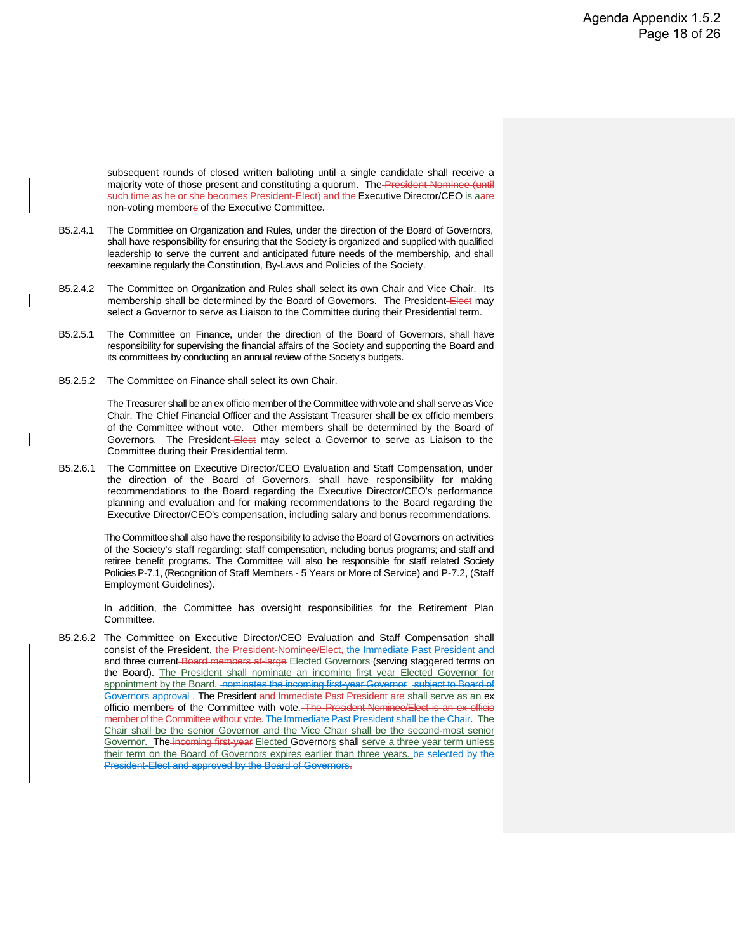subsequent rounds of closed written balloting until a single candidate shall receive a majority vote of those present and constituting a quorum. The President-Nominee (until such time as he or she becomes President-Elect) and the Executive Director/CEO is aare non-voting members of the Executive Committee.

- B5.2.4.1 The Committee on Organization and Rules, under the direction of the Board of Governors, shall have responsibility for ensuring that the Society is organized and supplied with qualified leadership to serve the current and anticipated future needs of the membership, and shall reexamine regularly the Constitution, By-Laws and Policies of the Society.
- B5.2.4.2 The Committee on Organization and Rules shall select its own Chair and Vice Chair. Its membership shall be determined by the Board of Governors. The President-Elect may select a Governor to serve as Liaison to the Committee during their Presidential term.
- B5.2.5.1 The Committee on Finance, under the direction of the Board of Governors, shall have responsibility for supervising the financial affairs of the Society and supporting the Board and its committees by conducting an annual review of the Society's budgets.
- B5.2.5.2 The Committee on Finance shall select its own Chair.

The Treasurer shall be an ex officio member of the Committee with vote and shall serve as Vice Chair. The Chief Financial Officer and the Assistant Treasurer shall be ex officio members of the Committee without vote. Other members shall be determined by the Board of Governors. The President-Elect may select a Governor to serve as Liaison to the Committee during their Presidential term.

B5.2.6.1 The Committee on Executive Director/CEO Evaluation and Staff Compensation, under the direction of the Board of Governors, shall have responsibility for making recommendations to the Board regarding the Executive Director/CEO's performance planning and evaluation and for making recommendations to the Board regarding the Executive Director/CEO's compensation, including salary and bonus recommendations.

> The Committee shall also have the responsibility to advise the Board of Governors on activities of the Society's staff regarding: staff compensation, including bonus programs; and staff and retiree benefit programs. The Committee will also be responsible for staff related Society Policies P-7.1, (Recognition of Staff Members - 5 Years or More of Service) and P-7.2, (Staff Employment Guidelines).

> In addition, the Committee has oversight responsibilities for the Retirement Plan Committee.

B5.2.6.2 The Committee on Executive Director/CEO Evaluation and Staff Compensation shall consist of the President, the President-Nominee/Elect, the Immediate Past President and and three current-Board members at-large Elected Governors (serving staggered terms on the Board). The President shall nominate an incoming first year Elected Governor for appointment by the Board. - nominates the incoming first-year Governor - subject to Board of Governors approval. The President and Immediate Past President are shall serve as an ex officio members of the Committee with vote. The President-Nominee/Elect is an ex officio the Committee without vote. The Immediate Past President shall be the Chair. The Chair shall be the senior Governor and the Vice Chair shall be the second-most senior Governor. The incoming first-year Elected Governors shall serve a three year term unless their term on the Board of Governors expires earlier than three years. be selected by the President-Elect and approved by the Board of Governors.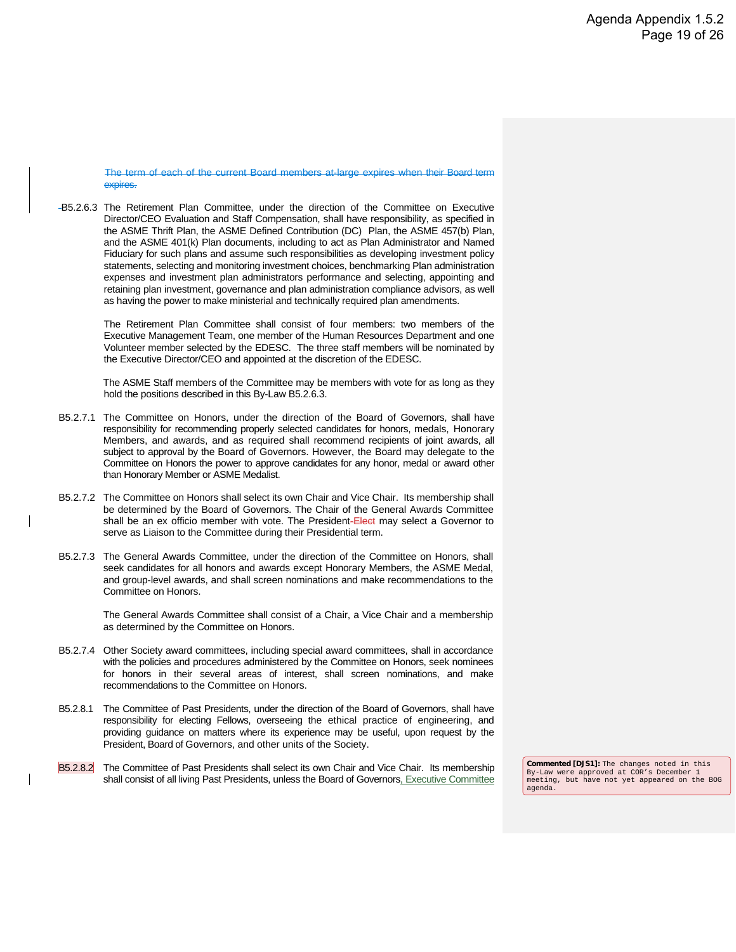The term of each of the current Board members at-large expires when their Board term expires.

B5.2.6.3 The Retirement Plan Committee, under the direction of the Committee on Executive Director/CEO Evaluation and Staff Compensation, shall have responsibility, as specified in the ASME Thrift Plan, the ASME Defined Contribution (DC) Plan, the ASME 457(b) Plan, and the ASME 401(k) Plan documents, including to act as Plan Administrator and Named Fiduciary for such plans and assume such responsibilities as developing investment policy statements, selecting and monitoring investment choices, benchmarking Plan administration expenses and investment plan administrators performance and selecting, appointing and retaining plan investment, governance and plan administration compliance advisors, as well as having the power to make ministerial and technically required plan amendments.

> The Retirement Plan Committee shall consist of four members: two members of the Executive Management Team, one member of the Human Resources Department and one Volunteer member selected by the EDESC. The three staff members will be nominated by the Executive Director/CEO and appointed at the discretion of the EDESC.

> The ASME Staff members of the Committee may be members with vote for as long as they hold the positions described in this By-Law B5.2.6.3.

- B5.2.7.1 The Committee on Honors, under the direction of the Board of Governors, shall have responsibility for recommending properly selected candidates for honors, medals, Honorary Members, and awards, and as required shall recommend recipients of joint awards, all subject to approval by the Board of Governors. However, the Board may delegate to the Committee on Honors the power to approve candidates for any honor, medal or award other than Honorary Member or ASME Medalist.
- B5.2.7.2 The Committee on Honors shall select its own Chair and Vice Chair. Its membership shall be determined by the Board of Governors. The Chair of the General Awards Committee shall be an ex officio member with vote. The President-Elect may select a Governor to serve as Liaison to the Committee during their Presidential term.
- B5.2.7.3 The General Awards Committee, under the direction of the Committee on Honors, shall seek candidates for all honors and awards except Honorary Members, the ASME Medal, and group-level awards, and shall screen nominations and make recommendations to the Committee on Honors.

The General Awards Committee shall consist of a Chair, a Vice Chair and a membership as determined by the Committee on Honors.

- B5.2.7.4 Other Society award committees, including special award committees, shall in accordance with the policies and procedures administered by the Committee on Honors, seek nominees for honors in their several areas of interest, shall screen nominations, and make recommendations to the Committee on Honors.
- B5.2.8.1 The Committee of Past Presidents, under the direction of the Board of Governors, shall have responsibility for electing Fellows, overseeing the ethical practice of engineering, and providing guidance on matters where its experience may be useful, upon request by the President, Board of Governors, and other units of the Society.
- B5.2.8.2 The Committee of Past Presidents shall select its own Chair and Vice Chair. Its membership shall consist of all living Past Presidents, unless the Board of Governors, Executive Committee

**Commented [DJS1]:** The changes noted in this By-Law were approved at COR's December 1 meeting, but have not yet appeared on the BOG agenda.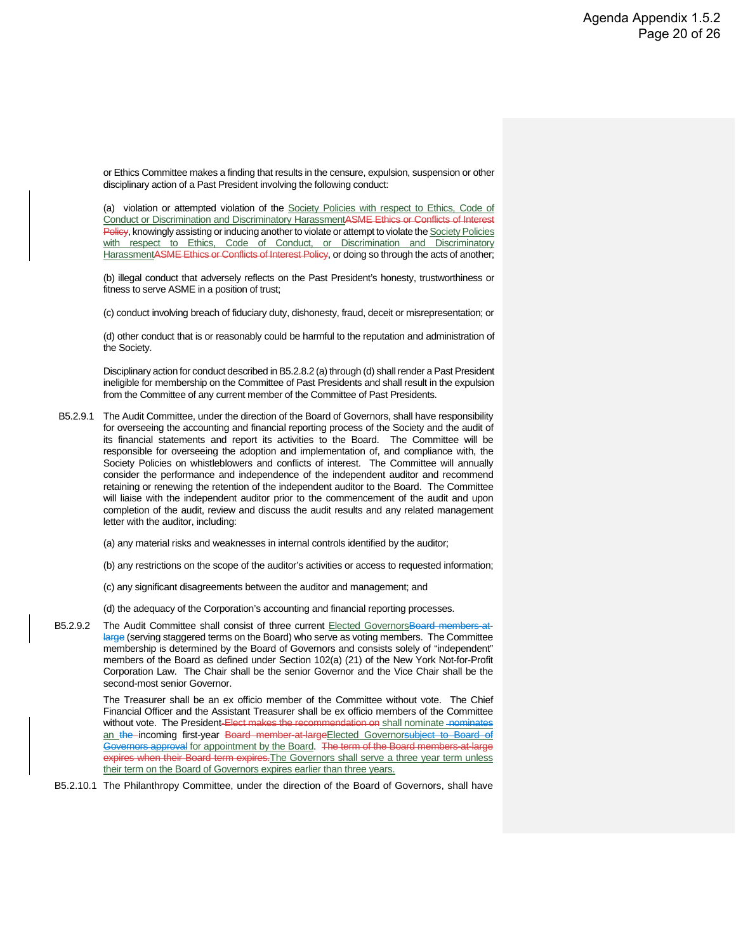or Ethics Committee makes a finding that results in the censure, expulsion, suspension or other disciplinary action of a Past President involving the following conduct:

(a) violation or attempted violation of the Society Policies with respect to Ethics, Code of Conduct or Discrimination and Discriminatory HarassmentASME Ethics or Conflicts of Interest Policy, knowingly assisting or inducing another to violate or attempt to violate the Society Policies with respect to Ethics, Code of Conduct, or Discrimination and Discriminatory HarassmentASME Ethics or Conflicts of Interest Policy, or doing so through the acts of another;

(b) illegal conduct that adversely reflects on the Past President's honesty, trustworthiness or fitness to serve ASME in a position of trust;

(c) conduct involving breach of fiduciary duty, dishonesty, fraud, deceit or misrepresentation; or

(d) other conduct that is or reasonably could be harmful to the reputation and administration of the Society.

Disciplinary action for conduct described in B5.2.8.2 (a) through (d) shall render a Past President ineligible for membership on the Committee of Past Presidents and shall result in the expulsion from the Committee of any current member of the Committee of Past Presidents.

- B5.2.9.1 The Audit Committee, under the direction of the Board of Governors, shall have responsibility for overseeing the accounting and financial reporting process of the Society and the audit of its financial statements and report its activities to the Board. The Committee will be responsible for overseeing the adoption and implementation of, and compliance with, the Society Policies on whistleblowers and conflicts of interest. The Committee will annually consider the performance and independence of the independent auditor and recommend retaining or renewing the retention of the independent auditor to the Board. The Committee will liaise with the independent auditor prior to the commencement of the audit and upon completion of the audit, review and discuss the audit results and any related management letter with the auditor, including:
	- (a) any material risks and weaknesses in internal controls identified by the auditor;
	- (b) any restrictions on the scope of the auditor's activities or access to requested information;
	- (c) any significant disagreements between the auditor and management; and
	- (d) the adequacy of the Corporation's accounting and financial reporting processes.
- B5.2.9.2 The Audit Committee shall consist of three current Elected GovernorsBoard members-atlarge (serving staggered terms on the Board) who serve as voting members. The Committee membership is determined by the Board of Governors and consists solely of "independent" members of the Board as defined under Section 102(a) (21) of the New York Not-for-Profit Corporation Law. The Chair shall be the senior Governor and the Vice Chair shall be the second-most senior Governor.

The Treasurer shall be an ex officio member of the Committee without vote. The Chief Financial Officer and the Assistant Treasurer shall be ex officio members of the Committee without vote. The President-Elect makes the recommendation on shall nominate nominates an the incoming first-year Board member at large Elected Governorsubject to Board of Governors approval for appointment by the Board. The term of the Board members-at-large expires when their Board term expires. The Governors shall serve a three year term unless their term on the Board of Governors expires earlier than three years.

B5.2.10.1 The Philanthropy Committee, under the direction of the Board of Governors, shall have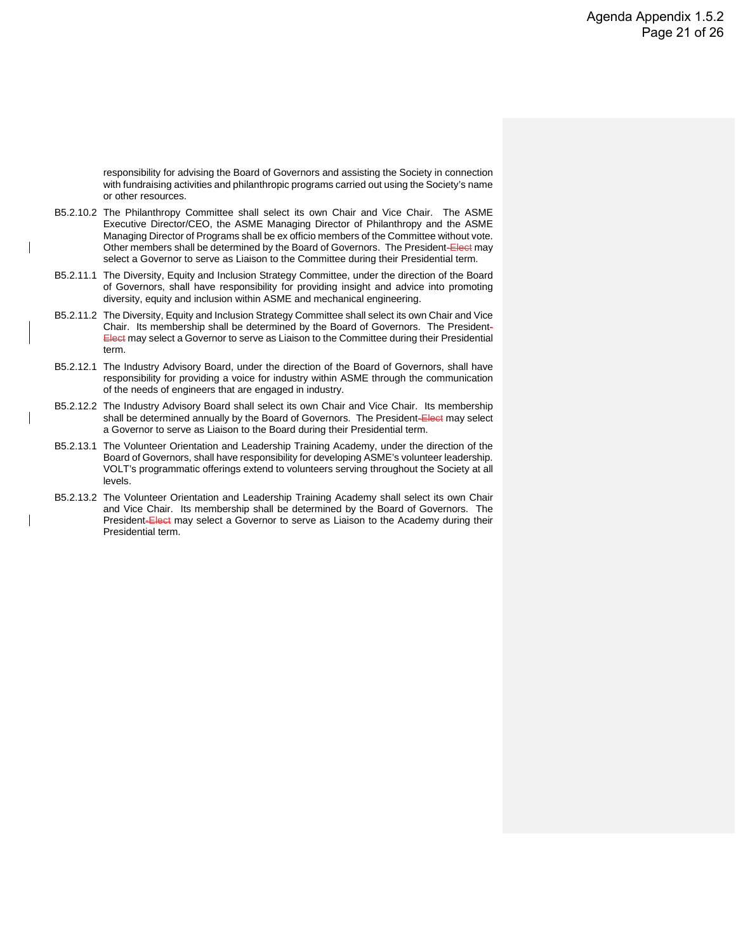responsibility for advising the Board of Governors and assisting the Society in connection with fundraising activities and philanthropic programs carried out using the Society's name or other resources.

- B5.2.10.2 The Philanthropy Committee shall select its own Chair and Vice Chair. The ASME Executive Director/CEO, the ASME Managing Director of Philanthropy and the ASME Managing Director of Programs shall be ex officio members of the Committee without vote. Other members shall be determined by the Board of Governors. The President-Elect may select a Governor to serve as Liaison to the Committee during their Presidential term.
- B5.2.11.1 The Diversity, Equity and Inclusion Strategy Committee, under the direction of the Board of Governors, shall have responsibility for providing insight and advice into promoting diversity, equity and inclusion within ASME and mechanical engineering.
- B5.2.11.2 The Diversity, Equity and Inclusion Strategy Committee shall select its own Chair and Vice Chair. Its membership shall be determined by the Board of Governors. The President-Elect may select a Governor to serve as Liaison to the Committee during their Presidential term.
- B5.2.12.1 The Industry Advisory Board, under the direction of the Board of Governors, shall have responsibility for providing a voice for industry within ASME through the communication of the needs of engineers that are engaged in industry.
- B5.2.12.2 The Industry Advisory Board shall select its own Chair and Vice Chair. Its membership shall be determined annually by the Board of Governors. The President-Elect may select a Governor to serve as Liaison to the Board during their Presidential term.
- B5.2.13.1 The Volunteer Orientation and Leadership Training Academy, under the direction of the Board of Governors, shall have responsibility for developing ASME's volunteer leadership. VOLT's programmatic offerings extend to volunteers serving throughout the Society at all levels.
- B5.2.13.2 The Volunteer Orientation and Leadership Training Academy shall select its own Chair and Vice Chair. Its membership shall be determined by the Board of Governors. The President-Elect may select a Governor to serve as Liaison to the Academy during their Presidential term.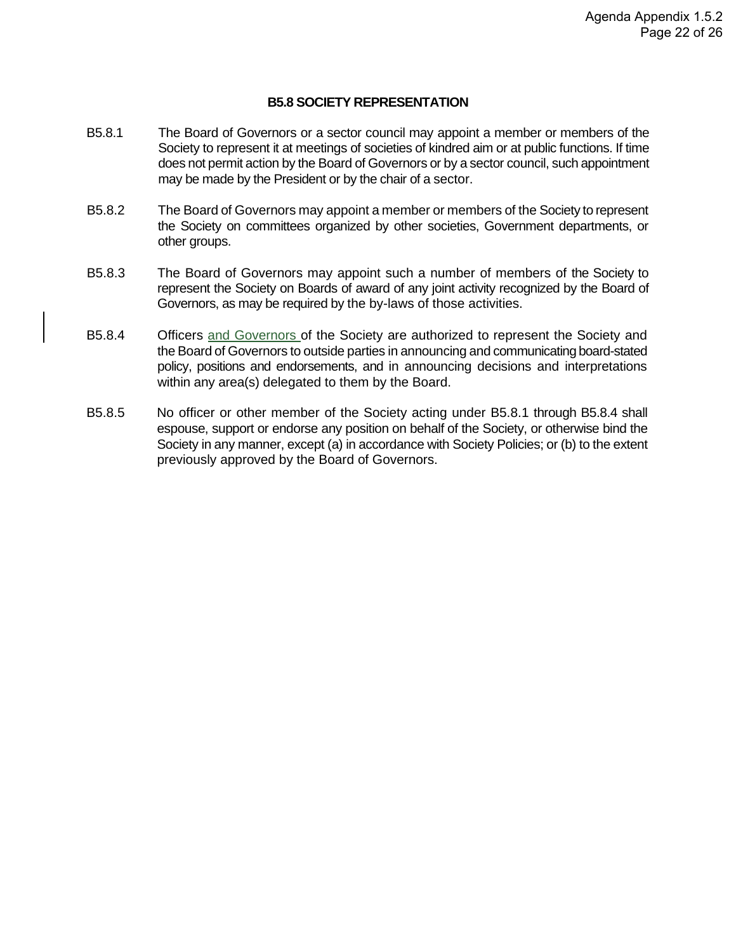#### **B5.8 SOCIETY REPRESENTATION**

- B5.8.1 The Board of Governors or a sector council may appoint a member or members of the Society to represent it at meetings of societies of kindred aim or at public functions. If time does not permit action by the Board of Governors or by a sector council, such appointment may be made by the President or by the chair of a sector.
- B5.8.2 The Board of Governors may appoint a member or members of the Society to represent the Society on committees organized by other societies, Government departments, or other groups.
- B5.8.3 The Board of Governors may appoint such a number of members of the Society to represent the Society on Boards of award of any joint activity recognized by the Board of Governors, as may be required by the by-laws of those activities.
- B5.8.4 Officers and Governors of the Society are authorized to represent the Society and the Board of Governors to outside parties in announcing and communicating board-stated policy, positions and endorsements, and in announcing decisions and interpretations within any area(s) delegated to them by the Board.
- B5.8.5 No officer or other member of the Society acting under B5.8.1 through B5.8.4 shall espouse, support or endorse any position on behalf of the Society, or otherwise bind the Society in any manner, except (a) in accordance with Society Policies; or (b) to the extent previously approved by the Board of Governors.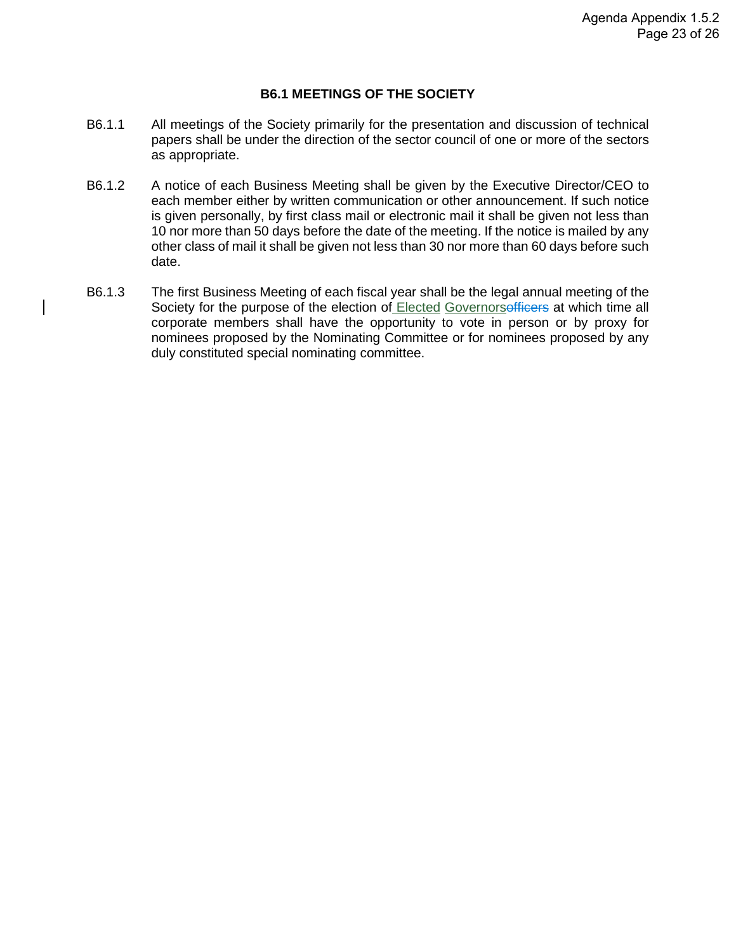#### **B6.1 MEETINGS OF THE SOCIETY**

- B6.1.1 All meetings of the Society primarily for the presentation and discussion of technical papers shall be under the direction of the sector council of one or more of the sectors as appropriate.
- B6.1.2 A notice of each Business Meeting shall be given by the Executive Director/CEO to each member either by written communication or other announcement. If such notice is given personally, by first class mail or electronic mail it shall be given not less than 10 nor more than 50 days before the date of the meeting. If the notice is mailed by any other class of mail it shall be given not less than 30 nor more than 60 days before such date.
- B6.1.3 The first Business Meeting of each fiscal year shall be the legal annual meeting of the Society for the purpose of the election of Elected Governorsofficers at which time all corporate members shall have the opportunity to vote in person or by proxy for nominees proposed by the Nominating Committee or for nominees proposed by any duly constituted special nominating committee.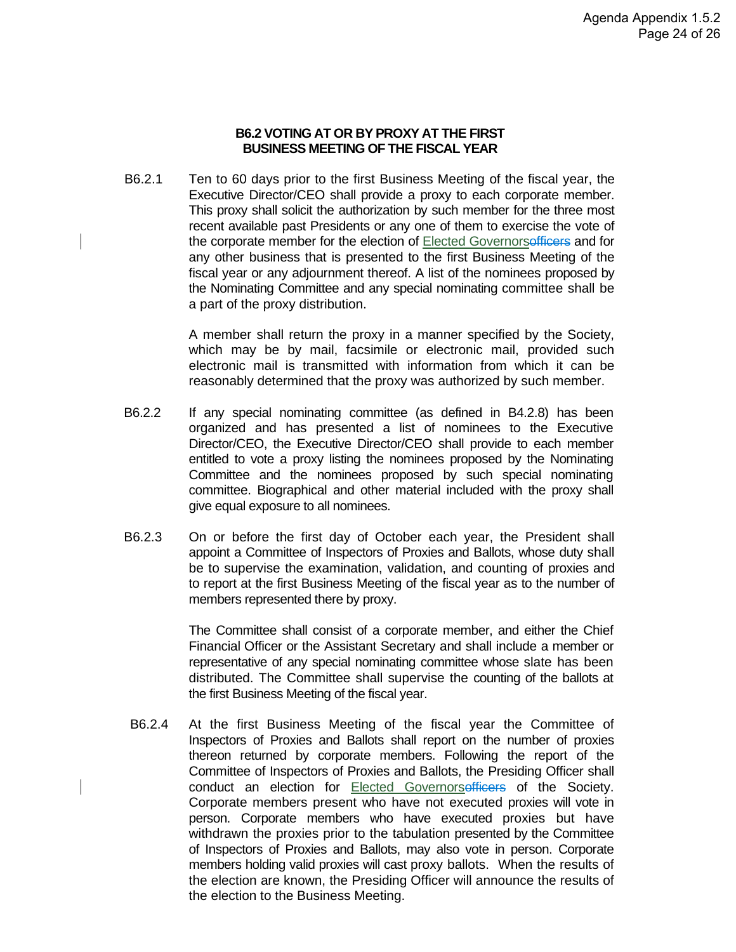#### **B6.2 VOTING AT OR BY PROXY AT THE FIRST BUSINESS MEETING OF THE FISCAL YEAR**

B6.2.1 Ten to 60 days prior to the first Business Meeting of the fiscal year, the Executive Director/CEO shall provide a proxy to each corporate member. This proxy shall solicit the authorization by such member for the three most recent available past Presidents or any one of them to exercise the vote of the corporate member for the election of Elected Governorsofficers and for any other business that is presented to the first Business Meeting of the fiscal year or any adjournment thereof. A list of the nominees proposed by the Nominating Committee and any special nominating committee shall be a part of the proxy distribution.

> A member shall return the proxy in a manner specified by the Society, which may be by mail, facsimile or electronic mail, provided such electronic mail is transmitted with information from which it can be reasonably determined that the proxy was authorized by such member.

- B6.2.2 If any special nominating committee (as defined in B4.2.8) has been organized and has presented a list of nominees to the Executive Director/CEO, the Executive Director/CEO shall provide to each member entitled to vote a proxy listing the nominees proposed by the Nominating Committee and the nominees proposed by such special nominating committee. Biographical and other material included with the proxy shall give equal exposure to all nominees.
- B6.2.3 On or before the first day of October each year, the President shall appoint a Committee of Inspectors of Proxies and Ballots, whose duty shall be to supervise the examination, validation, and counting of proxies and to report at the first Business Meeting of the fiscal year as to the number of members represented there by proxy.

The Committee shall consist of a corporate member, and either the Chief Financial Officer or the Assistant Secretary and shall include a member or representative of any special nominating committee whose slate has been distributed. The Committee shall supervise the counting of the ballots at the first Business Meeting of the fiscal year.

B6.2.4 At the first Business Meeting of the fiscal year the Committee of Inspectors of Proxies and Ballots shall report on the number of proxies thereon returned by corporate members. Following the report of the Committee of Inspectors of Proxies and Ballots, the Presiding Officer shall conduct an election for Elected Governorsofficers of the Society. Corporate members present who have not executed proxies will vote in person. Corporate members who have executed proxies but have withdrawn the proxies prior to the tabulation presented by the Committee of Inspectors of Proxies and Ballots, may also vote in person. Corporate members holding valid proxies will cast proxy ballots. When the results of the election are known, the Presiding Officer will announce the results of the election to the Business Meeting.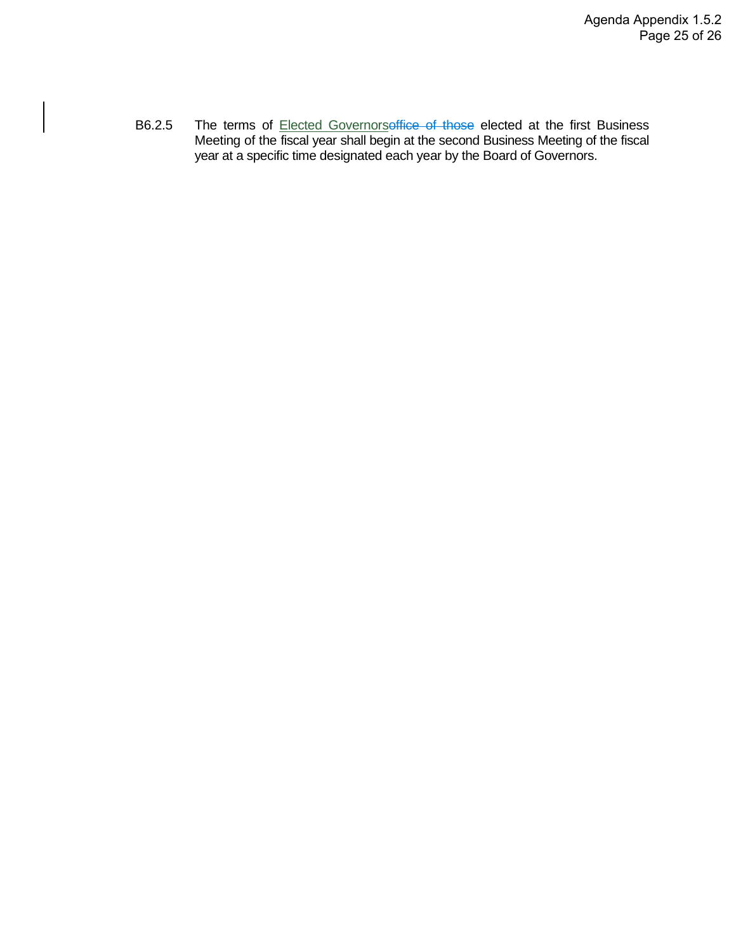B6.2.5 The terms of **Elected Governorsoffice of those elected** at the first Business Meeting of the fiscal year shall begin at the second Business Meeting of the fiscal year at a specific time designated each year by the Board of Governors.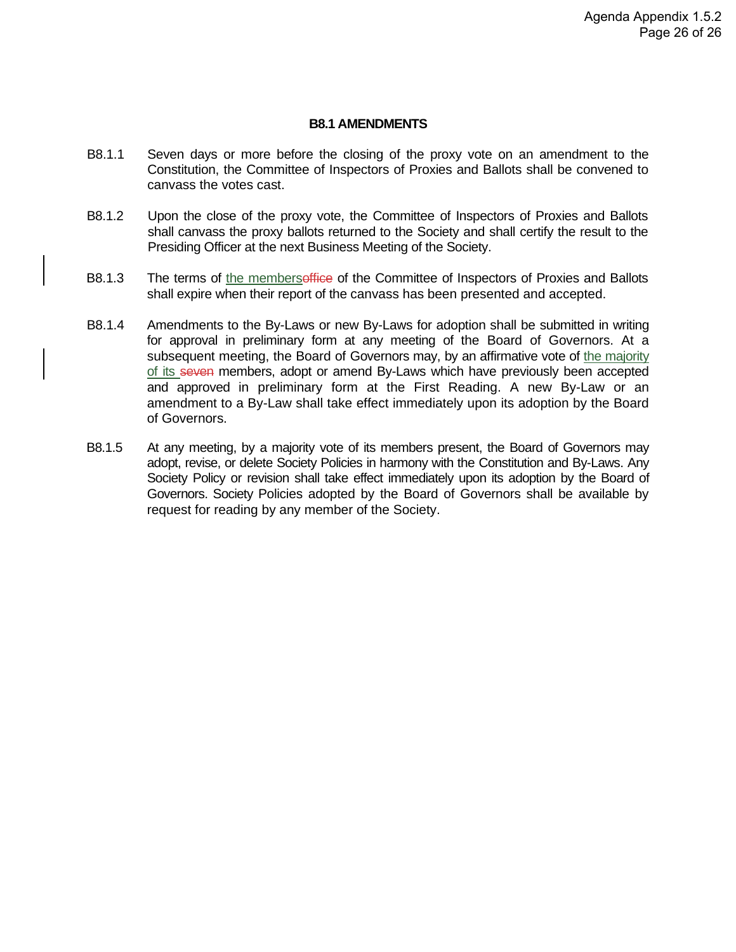#### **B8.1 AMENDMENTS**

- B8.1.1 Seven days or more before the closing of the proxy vote on an amendment to the Constitution, the Committee of Inspectors of Proxies and Ballots shall be convened to canvass the votes cast.
- B8.1.2 Upon the close of the proxy vote, the Committee of Inspectors of Proxies and Ballots shall canvass the proxy ballots returned to the Society and shall certify the result to the Presiding Officer at the next Business Meeting of the Society.
- B8.1.3 The terms of the membersoffice of the Committee of Inspectors of Proxies and Ballots shall expire when their report of the canvass has been presented and accepted.
- B8.1.4 Amendments to the By-Laws or new By-Laws for adoption shall be submitted in writing for approval in preliminary form at any meeting of the Board of Governors. At a subsequent meeting, the Board of Governors may, by an affirmative vote of the majority of its seven members, adopt or amend By-Laws which have previously been accepted and approved in preliminary form at the First Reading. A new By-Law or an amendment to a By-Law shall take effect immediately upon its adoption by the Board of Governors.
- B8.1.5 At any meeting, by a majority vote of its members present, the Board of Governors may adopt, revise, or delete Society Policies in harmony with the Constitution and By-Laws. Any Society Policy or revision shall take effect immediately upon its adoption by the Board of Governors. Society Policies adopted by the Board of Governors shall be available by request for reading by any member of the Society.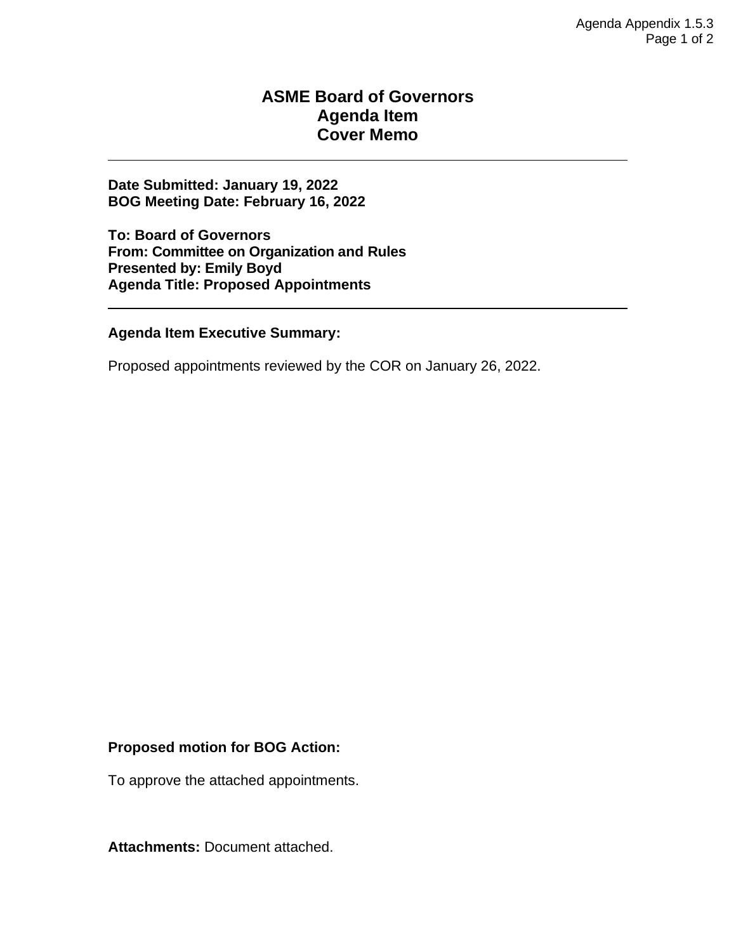#### **ASME Board of Governors Agenda Item Cover Memo**

**Date Submitted: January 19, 2022 BOG Meeting Date: February 16, 2022**

**To: Board of Governors From: Committee on Organization and Rules Presented by: Emily Boyd Agenda Title: Proposed Appointments**

#### **Agenda Item Executive Summary:**

Proposed appointments reviewed by the COR on January 26, 2022.

#### **Proposed motion for BOG Action:**

To approve the attached appointments.

**Attachments:** Document attached.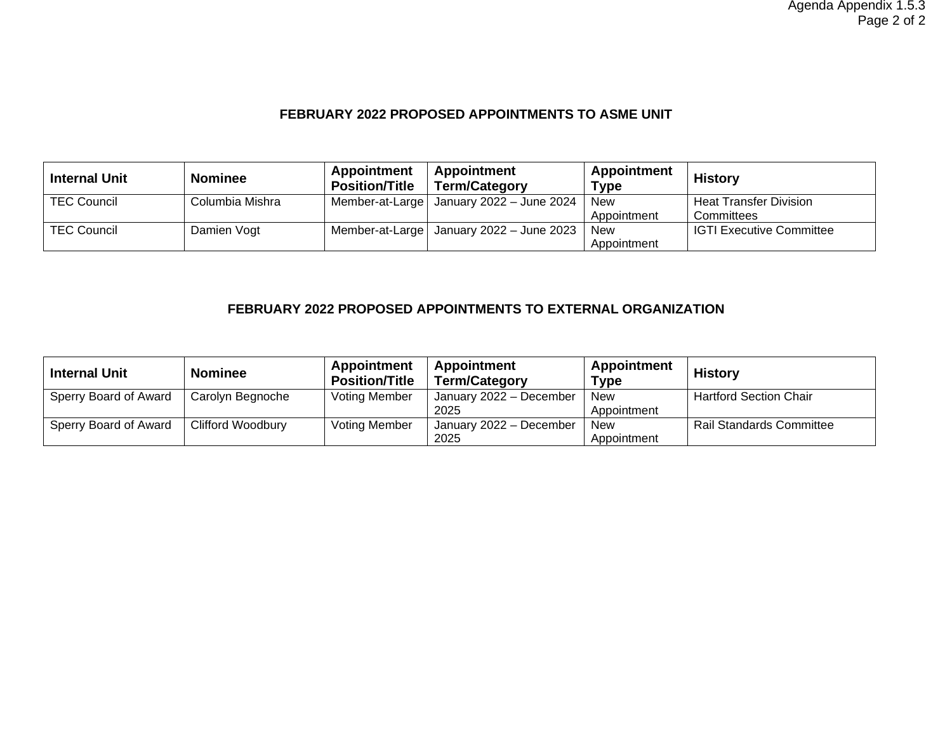#### **FEBRUARY 2022 PROPOSED APPOINTMENTS TO ASME UNIT**

| <b>Internal Unit</b> | <b>Nominee</b>  | Appointment<br><b>Position/Title</b> | Appointment<br><b>Term/Category</b>        | Appointment<br><b>Type</b> | <b>History</b>                  |
|----------------------|-----------------|--------------------------------------|--------------------------------------------|----------------------------|---------------------------------|
| <b>TEC Council</b>   | Columbia Mishra |                                      | Member-at-Large   January 2022 - June 2024 | <b>New</b>                 | <b>Heat Transfer Division</b>   |
|                      |                 |                                      |                                            | Appointment                | Committees                      |
| <b>TEC Council</b>   | Damien Vogt     |                                      | Member-at-Large   January 2022 - June 2023 | <b>New</b>                 | <b>IGTI Executive Committee</b> |
|                      |                 |                                      |                                            | Appointment                |                                 |

#### **FEBRUARY 2022 PROPOSED APPOINTMENTS TO EXTERNAL ORGANIZATION**

| <b>Internal Unit</b>  | <b>Nominee</b>           | <b>Appointment</b><br><b>Position/Title</b> | Appointment<br><b>Term/Category</b> | Appointment<br>Type       | <b>History</b>                  |
|-----------------------|--------------------------|---------------------------------------------|-------------------------------------|---------------------------|---------------------------------|
| Sperry Board of Award | Carolyn Begnoche         | <b>Voting Member</b>                        | January 2022 - December<br>2025     | <b>New</b><br>Appointment | <b>Hartford Section Chair</b>   |
| Sperry Board of Award | <b>Clifford Woodbury</b> | <b>Voting Member</b>                        | January 2022 - December<br>2025     | <b>New</b><br>Appointment | <b>Rail Standards Committee</b> |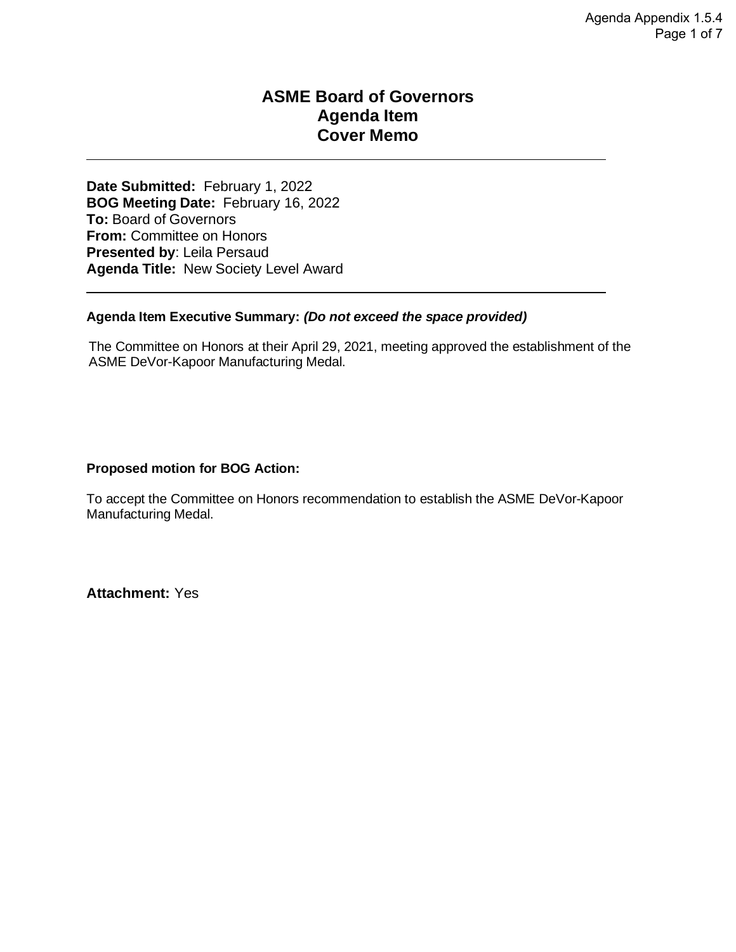#### **ASME Board of Governors Agenda Item Cover Memo**

**Date Submitted:** February 1, 2022 **BOG Meeting Date:** February 16, 2022 **To:** Board of Governors **From:** Committee on Honors **Presented by**: Leila Persaud **Agenda Title:** New Society Level Award

#### **Agenda Item Executive Summary:** *(Do not exceed the space provided)*

The Committee on Honors at their April 29, 2021, meeting approved the establishment of the ASME DeVor-Kapoor Manufacturing Medal.

#### **Proposed motion for BOG Action:**

To accept the Committee on Honors recommendation to establish the ASME DeVor-Kapoor Manufacturing Medal.

**Attachment:** Yes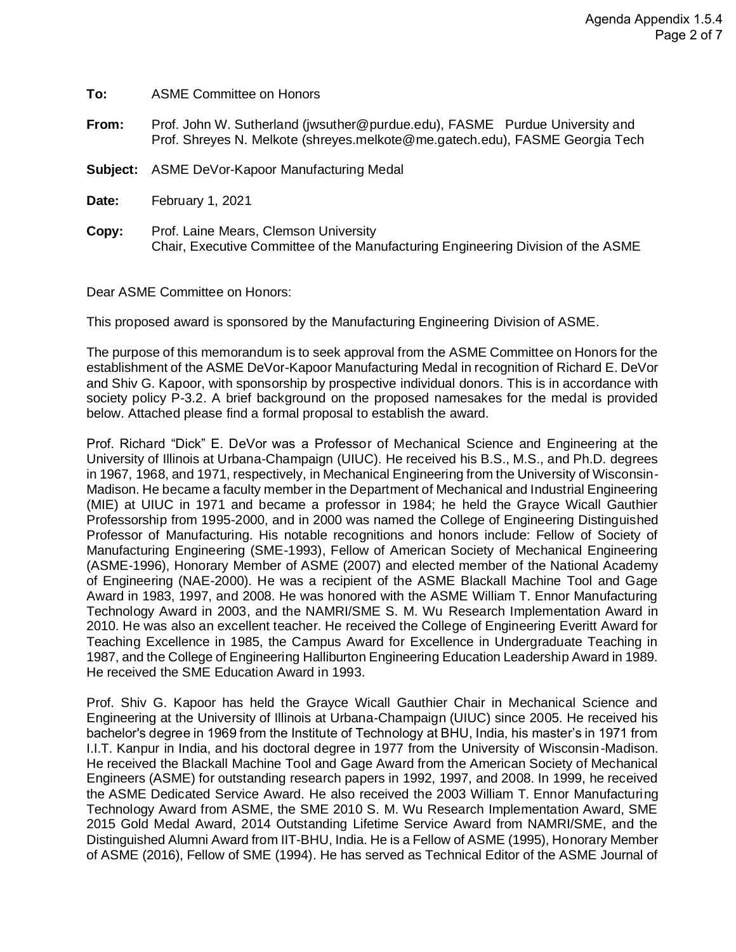| To:      | <b>ASME Committee on Honors</b>                                                                                                                             |
|----------|-------------------------------------------------------------------------------------------------------------------------------------------------------------|
| From:    | Prof. John W. Sutherland (jwsuther@purdue.edu), FASME Purdue University and<br>Prof. Shreyes N. Melkote (shreyes.melkote@me.gatech.edu), FASME Georgia Tech |
| Subject: | ASME DeVor-Kapoor Manufacturing Medal                                                                                                                       |
| Date:    | February 1, 2021                                                                                                                                            |
| Copy:    | Prof. Laine Mears, Clemson University<br>Chair, Executive Committee of the Manufacturing Engineering Division of the ASME                                   |

Dear ASME Committee on Honors:

This proposed award is sponsored by the Manufacturing Engineering Division of ASME.

The purpose of this memorandum is to seek approval from the ASME Committee on Honors for the establishment of the ASME DeVor-Kapoor Manufacturing Medal in recognition of Richard E. DeVor and Shiv G. Kapoor, with sponsorship by prospective individual donors. This is in accordance with society policy P-3.2. A brief background on the proposed namesakes for the medal is provided below. Attached please find a formal proposal to establish the award.

Prof. Richard "Dick" E. DeVor was a Professor of Mechanical Science and Engineering at the University of Illinois at Urbana-Champaign (UIUC). He received his B.S., M.S., and Ph.D. degrees in 1967, 1968, and 1971, respectively, in Mechanical Engineering from the University of Wisconsin-Madison. He became a faculty member in the Department of Mechanical and Industrial Engineering (MIE) at UIUC in 1971 and became a professor in 1984; he held the Grayce Wicall Gauthier Professorship from 1995-2000, and in 2000 was named the College of Engineering Distinguished Professor of Manufacturing. His notable recognitions and honors include: Fellow of Society of Manufacturing Engineering (SME-1993), Fellow of American Society of Mechanical Engineering (ASME-1996), Honorary Member of ASME (2007) and elected member of the National Academy of Engineering (NAE-2000). He was a recipient of the ASME Blackall Machine Tool and Gage Award in 1983, 1997, and 2008. He was honored with the ASME William T. Ennor Manufacturing Technology Award in 2003, and the NAMRI/SME S. M. Wu Research Implementation Award in 2010. He was also an excellent teacher. He received the College of Engineering Everitt Award for Teaching Excellence in 1985, the Campus Award for Excellence in Undergraduate Teaching in 1987, and the College of Engineering Halliburton Engineering Education Leadership Award in 1989. He received the SME Education Award in 1993.

Prof. Shiv G. Kapoor has held the Grayce Wicall Gauthier Chair in Mechanical Science and Engineering at the University of Illinois at Urbana-Champaign (UIUC) since 2005. He received his bachelor's degree in 1969 from the Institute of Technology at BHU, India, his master's in 1971 from I.I.T. Kanpur in India, and his doctoral degree in 1977 from the University of Wisconsin-Madison. He received the Blackall Machine Tool and Gage Award from the American Society of Mechanical Engineers (ASME) for outstanding research papers in 1992, 1997, and 2008. In 1999, he received the ASME Dedicated Service Award. He also received the 2003 William T. Ennor Manufacturing Technology Award from ASME, the SME 2010 S. M. Wu Research Implementation Award, SME 2015 Gold Medal Award, 2014 Outstanding Lifetime Service Award from NAMRI/SME, and the Distinguished Alumni Award from IIT-BHU, India. He is a Fellow of ASME (1995), Honorary Member of ASME (2016), Fellow of SME (1994). He has served as Technical Editor of the ASME Journal of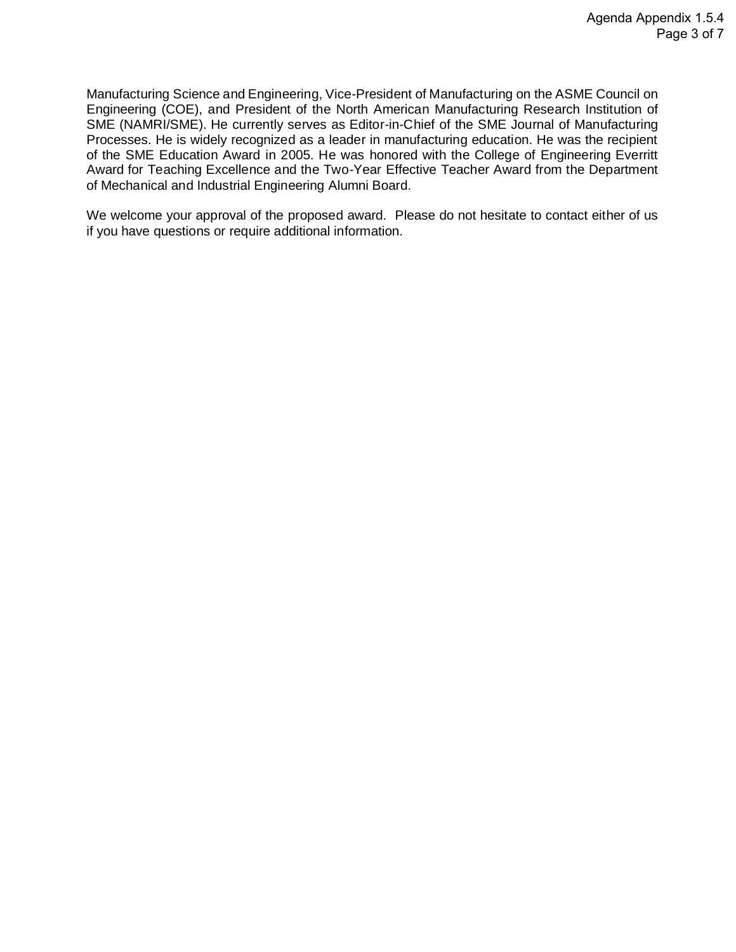Manufacturing Science and Engineering, Vice-President of Manufacturing on the ASME Council on Engineering (COE), and President of the North American Manufacturing Research Institution of SME (NAMRI/SME). He currently serves as Editor-in-Chief of the SME Journal of Manufacturing Processes. He is widely recognized as a leader in manufacturing education. He was the recipient of the SME Education Award in 2005. He was honored with the College of Engineering Everritt Award for Teaching Excellence and the Two-Year Effective Teacher Award from the Department of Mechanical and Industrial Engineering Alumni Board.

We welcome your approval of the proposed award. Please do not hesitate to contact either of us if you have questions or require additional information.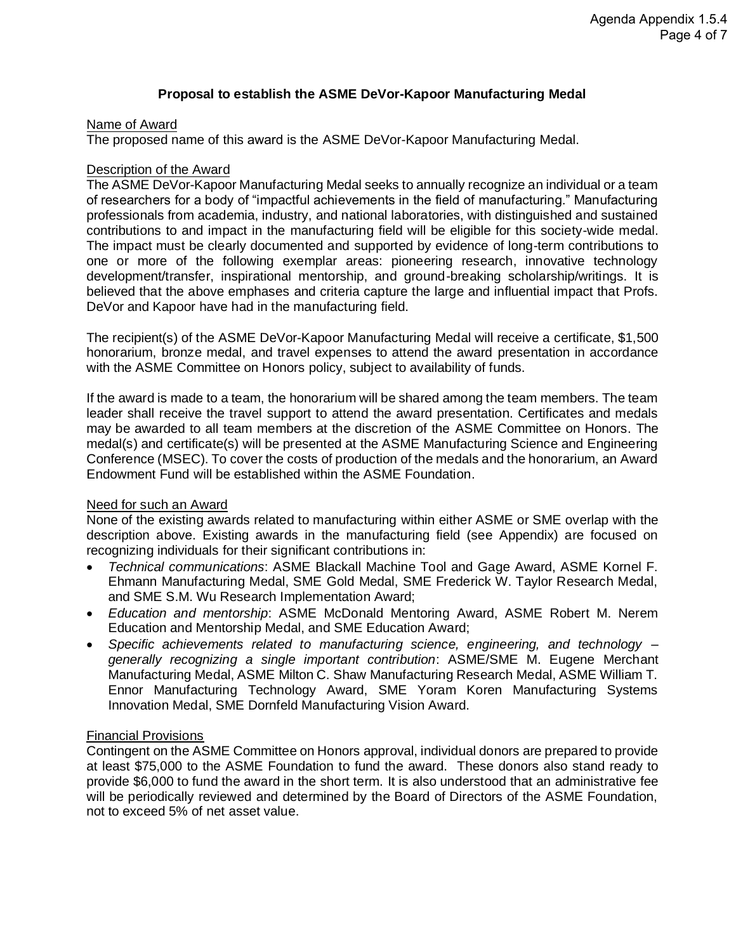#### **Proposal to establish the ASME DeVor-Kapoor Manufacturing Medal**

#### Name of Award

The proposed name of this award is the ASME DeVor-Kapoor Manufacturing Medal.

#### Description of the Award

The ASME DeVor-Kapoor Manufacturing Medal seeks to annually recognize an individual or a team of researchers for a body of "impactful achievements in the field of manufacturing." Manufacturing professionals from academia, industry, and national laboratories, with distinguished and sustained contributions to and impact in the manufacturing field will be eligible for this society-wide medal. The impact must be clearly documented and supported by evidence of long-term contributions to one or more of the following exemplar areas: pioneering research, innovative technology development/transfer, inspirational mentorship, and ground-breaking scholarship/writings. It is believed that the above emphases and criteria capture the large and influential impact that Profs. DeVor and Kapoor have had in the manufacturing field.

The recipient(s) of the ASME DeVor-Kapoor Manufacturing Medal will receive a certificate, \$1,500 honorarium, bronze medal, and travel expenses to attend the award presentation in accordance with the ASME Committee on Honors policy, subject to availability of funds.

If the award is made to a team, the honorarium will be shared among the team members. The team leader shall receive the travel support to attend the award presentation. Certificates and medals may be awarded to all team members at the discretion of the ASME Committee on Honors. The medal(s) and certificate(s) will be presented at the ASME Manufacturing Science and Engineering Conference (MSEC). To cover the costs of production of the medals and the honorarium, an Award Endowment Fund will be established within the ASME Foundation.

#### Need for such an Award

None of the existing awards related to manufacturing within either ASME or SME overlap with the description above. Existing awards in the manufacturing field (see Appendix) are focused on recognizing individuals for their significant contributions in:

- *Technical communications*: ASME Blackall Machine Tool and Gage Award, ASME Kornel F. Ehmann Manufacturing Medal, SME Gold Medal, SME Frederick W. Taylor Research Medal, and SME S.M. Wu Research Implementation Award;
- *Education and mentorship*: ASME McDonald Mentoring Award, ASME Robert M. Nerem Education and Mentorship Medal, and SME Education Award;
- *Specific achievements related to manufacturing science, engineering, and technology – generally recognizing a single important contribution*: ASME/SME M. Eugene Merchant Manufacturing Medal, ASME Milton C. Shaw Manufacturing Research Medal, ASME William T. Ennor Manufacturing Technology Award, SME Yoram Koren Manufacturing Systems Innovation Medal, SME Dornfeld Manufacturing Vision Award.

#### Financial Provisions

Contingent on the ASME Committee on Honors approval, individual donors are prepared to provide at least \$75,000 to the ASME Foundation to fund the award. These donors also stand ready to provide \$6,000 to fund the award in the short term. It is also understood that an administrative fee will be periodically reviewed and determined by the Board of Directors of the ASME Foundation, not to exceed 5% of net asset value.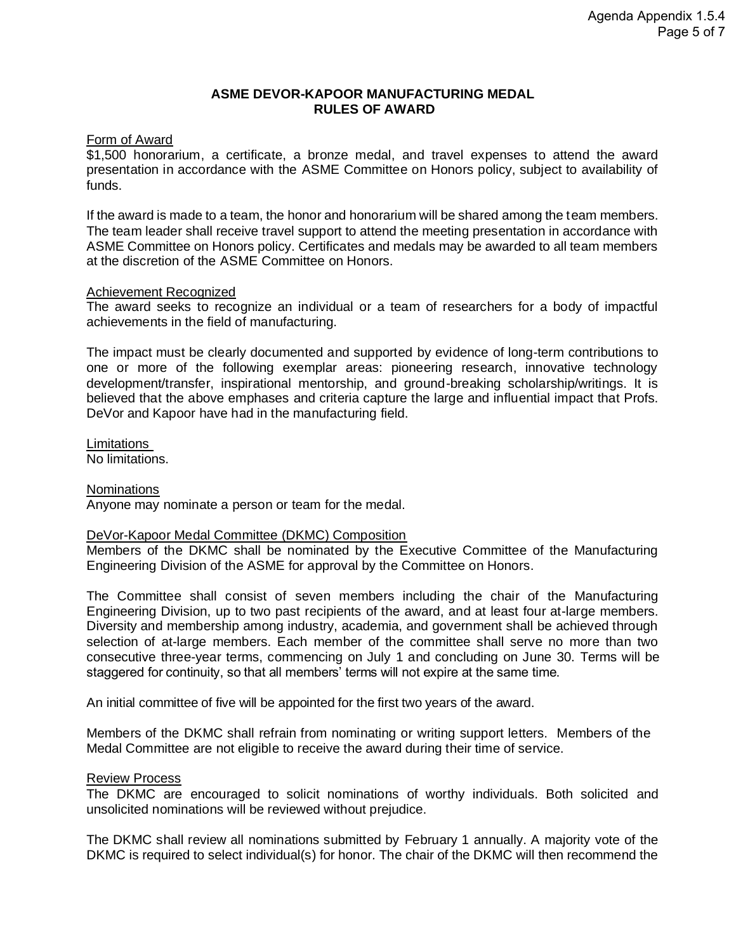#### **ASME DEVOR-KAPOOR MANUFACTURING MEDAL RULES OF AWARD**

#### Form of Award

\$1,500 honorarium, a certificate, a bronze medal, and travel expenses to attend the award presentation in accordance with the ASME Committee on Honors policy, subject to availability of funds.

If the award is made to a team, the honor and honorarium will be shared among the team members. The team leader shall receive travel support to attend the meeting presentation in accordance with ASME Committee on Honors policy. Certificates and medals may be awarded to all team members at the discretion of the ASME Committee on Honors.

#### Achievement Recognized

The award seeks to recognize an individual or a team of researchers for a body of impactful achievements in the field of manufacturing.

The impact must be clearly documented and supported by evidence of long-term contributions to one or more of the following exemplar areas: pioneering research, innovative technology development/transfer, inspirational mentorship, and ground-breaking scholarship/writings. It is believed that the above emphases and criteria capture the large and influential impact that Profs. DeVor and Kapoor have had in the manufacturing field.

Limitations No limitations.

#### **Nominations**

Anyone may nominate a person or team for the medal.

#### DeVor-Kapoor Medal Committee (DKMC) Composition

Members of the DKMC shall be nominated by the Executive Committee of the Manufacturing Engineering Division of the ASME for approval by the Committee on Honors.

The Committee shall consist of seven members including the chair of the Manufacturing Engineering Division, up to two past recipients of the award, and at least four at-large members. Diversity and membership among industry, academia, and government shall be achieved through selection of at-large members. Each member of the committee shall serve no more than two consecutive three-year terms, commencing on July 1 and concluding on June 30. Terms will be staggered for continuity, so that all members' terms will not expire at the same time.

An initial committee of five will be appointed for the first two years of the award.

Members of the DKMC shall refrain from nominating or writing support letters. Members of the Medal Committee are not eligible to receive the award during their time of service.

#### Review Process

The DKMC are encouraged to solicit nominations of worthy individuals. Both solicited and unsolicited nominations will be reviewed without prejudice.

The DKMC shall review all nominations submitted by February 1 annually. A majority vote of the DKMC is required to select individual(s) for honor. The chair of the DKMC will then recommend the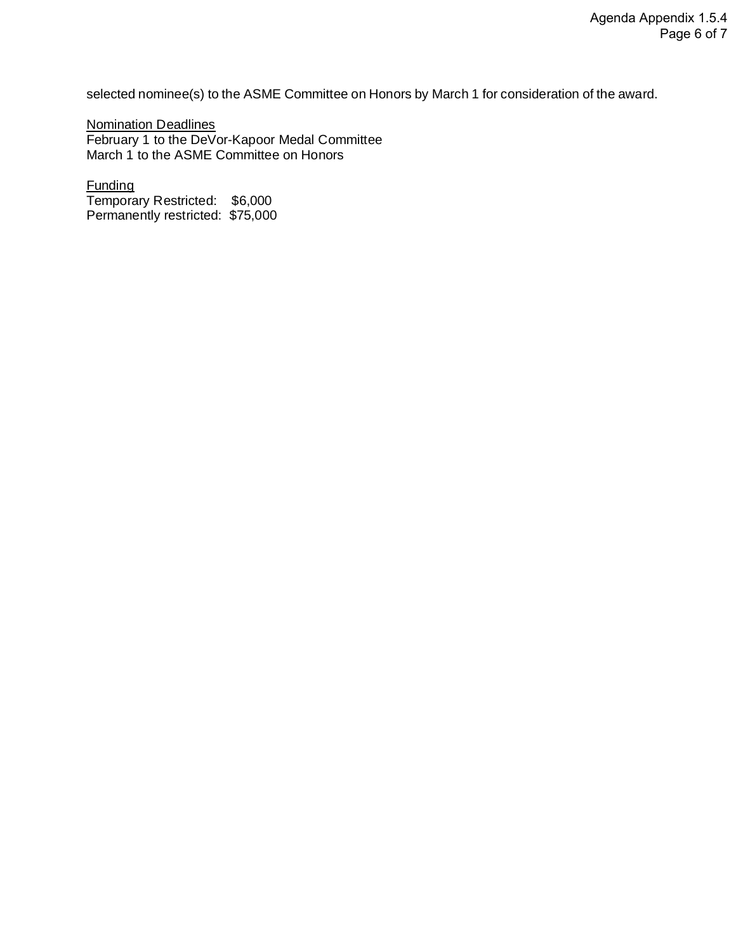selected nominee(s) to the ASME Committee on Honors by March 1 for consideration of the award.

Nomination Deadlines February 1 to the DeVor-Kapoor Medal Committee March 1 to the ASME Committee on Honors

Funding Temporary Restricted: \$6,000 Permanently restricted: \$75,000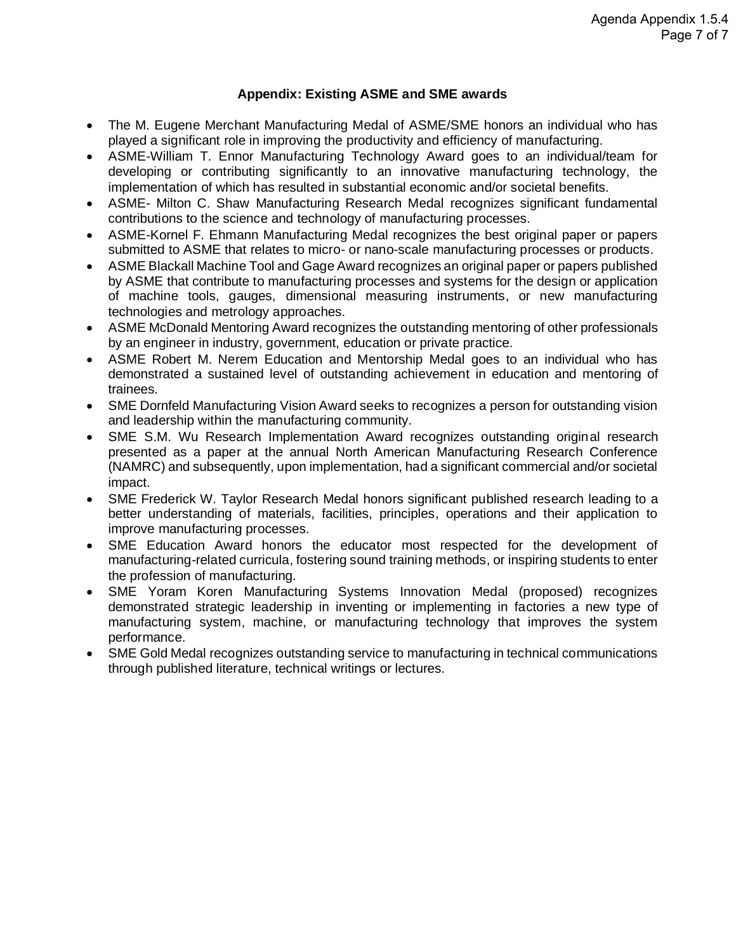#### **Appendix: Existing ASME and SME awards**

- The M. Eugene Merchant Manufacturing Medal of ASME/SME honors an individual who has played a significant role in improving the productivity and efficiency of manufacturing.
- ASME-William T. Ennor Manufacturing Technology Award goes to an individual/team for developing or contributing significantly to an innovative manufacturing technology, the implementation of which has resulted in substantial economic and/or societal benefits.
- ASME- Milton C. Shaw Manufacturing Research Medal recognizes significant fundamental contributions to the science and technology of manufacturing processes.
- ASME-Kornel F. Ehmann Manufacturing Medal recognizes the best original paper or papers submitted to ASME that relates to micro- or nano-scale manufacturing processes or products.
- ASME Blackall Machine Tool and Gage Award recognizes an original paper or papers published by ASME that contribute to manufacturing processes and systems for the design or application of machine tools, gauges, dimensional measuring instruments, or new manufacturing technologies and metrology approaches.
- ASME McDonald Mentoring Award recognizes the outstanding mentoring of other professionals by an engineer in industry, government, education or private practice.
- ASME Robert M. Nerem Education and Mentorship Medal goes to an individual who has demonstrated a sustained level of outstanding achievement in education and mentoring of trainees.
- SME Dornfeld Manufacturing Vision Award seeks to recognizes a person for outstanding vision and leadership within the manufacturing community.
- SME S.M. Wu Research Implementation Award recognizes outstanding original research presented as a paper at the annual North American Manufacturing Research Conference (NAMRC) and subsequently, upon implementation, had a significant commercial and/or societal impact.
- SME Frederick W. Taylor Research Medal honors significant published research leading to a better understanding of materials, facilities, principles, operations and their application to improve manufacturing processes.
- SME Education Award honors the educator most respected for the development of manufacturing-related curricula, fostering sound training methods, or inspiring students to enter the profession of manufacturing.
- SME Yoram Koren Manufacturing Systems Innovation Medal (proposed) recognizes demonstrated strategic leadership in inventing or implementing in factories a new type of manufacturing system, machine, or manufacturing technology that improves the system performance.
- SME Gold Medal recognizes outstanding service to manufacturing in technical communications through published literature, technical writings or lectures.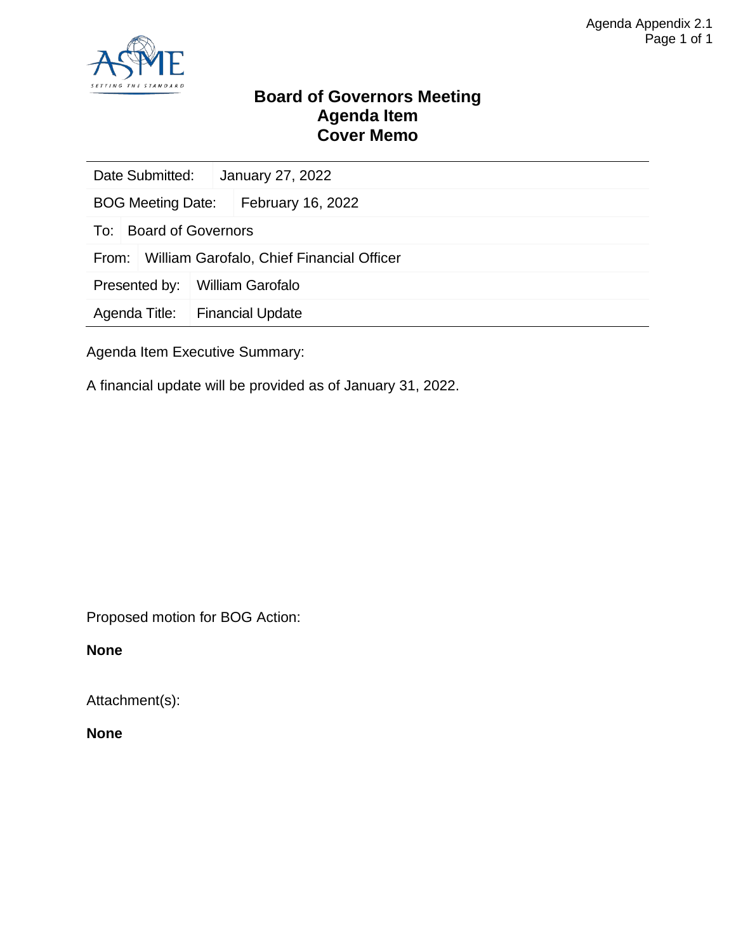

#### **Board of Governors Meeting Agenda Item Cover Memo**

|                                                    | Date Submitted:<br>January 27, 2022 |  |                         |  |  |
|----------------------------------------------------|-------------------------------------|--|-------------------------|--|--|
| <b>BOG Meeting Date:</b>                           |                                     |  | February 16, 2022       |  |  |
| To:                                                | <b>Board of Governors</b>           |  |                         |  |  |
| William Garofalo, Chief Financial Officer<br>From: |                                     |  |                         |  |  |
| Presented by:                                      |                                     |  | <b>William Garofalo</b> |  |  |
| Agenda Title:                                      |                                     |  | <b>Financial Update</b> |  |  |
|                                                    |                                     |  |                         |  |  |

Agenda Item Executive Summary:

A financial update will be provided as of January 31, 2022.

Proposed motion for BOG Action:

**None**

Attachment(s):

**None**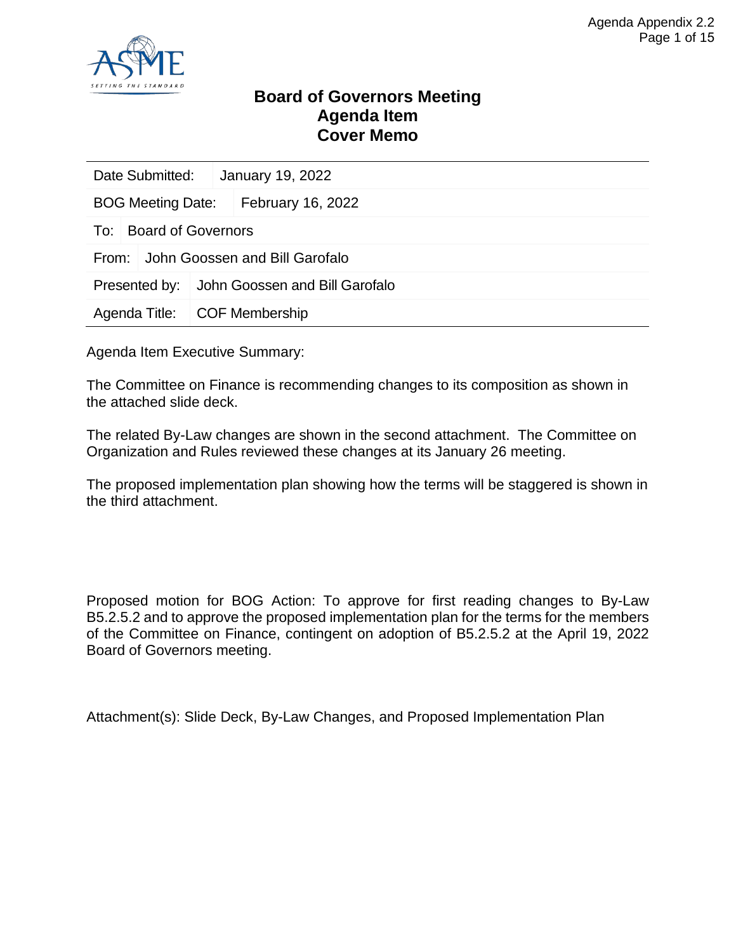

#### **Board of Governors Meeting Agenda Item Cover Memo**

| Date Submitted:                         |                        | January 19, 2022                             |  |  |
|-----------------------------------------|------------------------|----------------------------------------------|--|--|
| BOG Meeting Date:   February 16, 2022   |                        |                                              |  |  |
|                                         | To: Board of Governors |                                              |  |  |
| John Goossen and Bill Garofalo<br>From: |                        |                                              |  |  |
|                                         |                        | Presented by: John Goossen and Bill Garofalo |  |  |
| Agenda Title:   COF Membership          |                        |                                              |  |  |

Agenda Item Executive Summary:

The Committee on Finance is recommending changes to its composition as shown in the attached slide deck.

The related By-Law changes are shown in the second attachment. The Committee on Organization and Rules reviewed these changes at its January 26 meeting.

The proposed implementation plan showing how the terms will be staggered is shown in the third attachment.

Proposed motion for BOG Action: To approve for first reading changes to By-Law B5.2.5.2 and to approve the proposed implementation plan for the terms for the members of the Committee on Finance, contingent on adoption of B5.2.5.2 at the April 19, 2022 Board of Governors meeting.

Attachment(s): Slide Deck, By-Law Changes, and Proposed Implementation Plan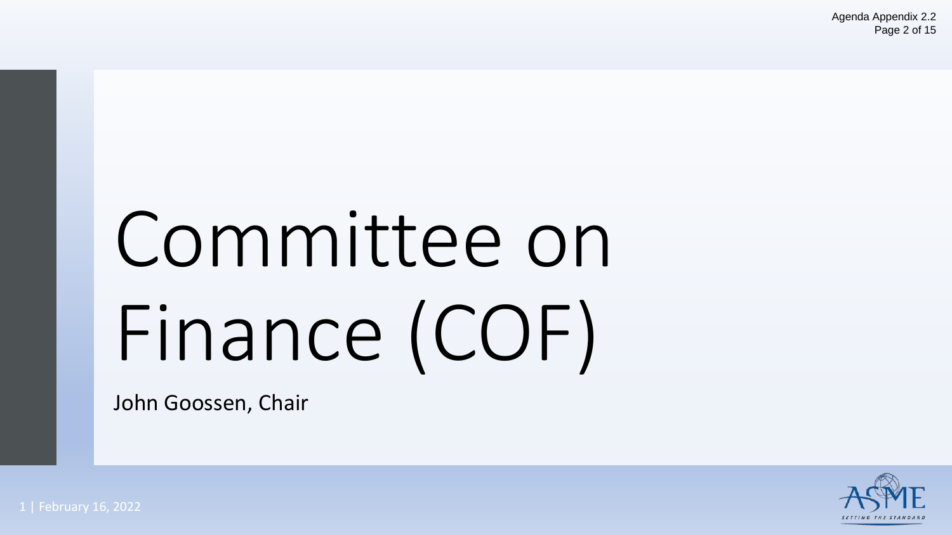# Committee on Finance (COF)

John Goossen, Chair

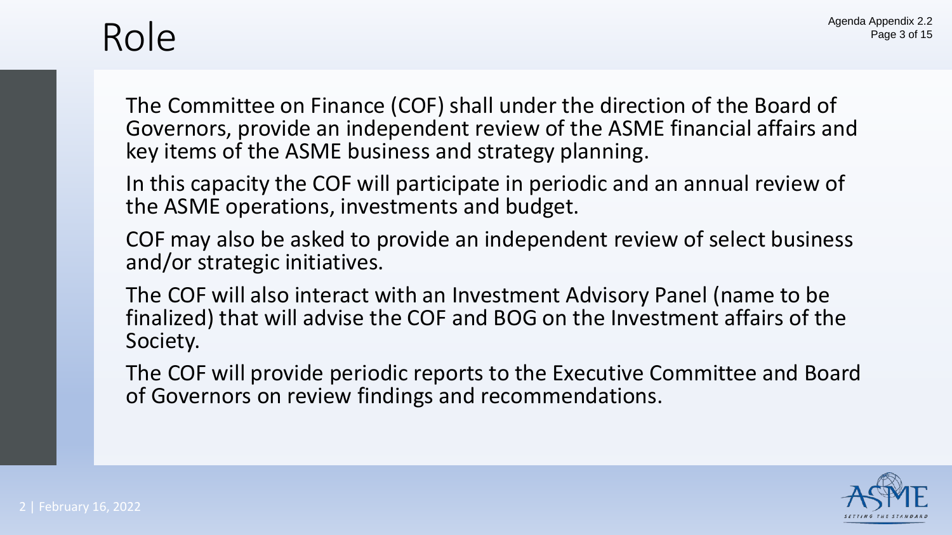### Role

The Committee on Finance (COF) shall under the direction of the Board of Governors, provide an independent review of the ASME financial affairs and key items of the ASME business and strategy planning.

In this capacity the COF will participate in periodic and an annual review of the ASME operations, investments and budget.

COF may also be asked to provide an independent review of select business and/or strategic initiatives.

The COF will also interact with an Investment Advisory Panel (name to be finalized) that will advise the COF and BOG on the Investment affairs of the Society.

The COF will provide periodic reports to the Executive Committee and Board of Governors on review findings and recommendations.

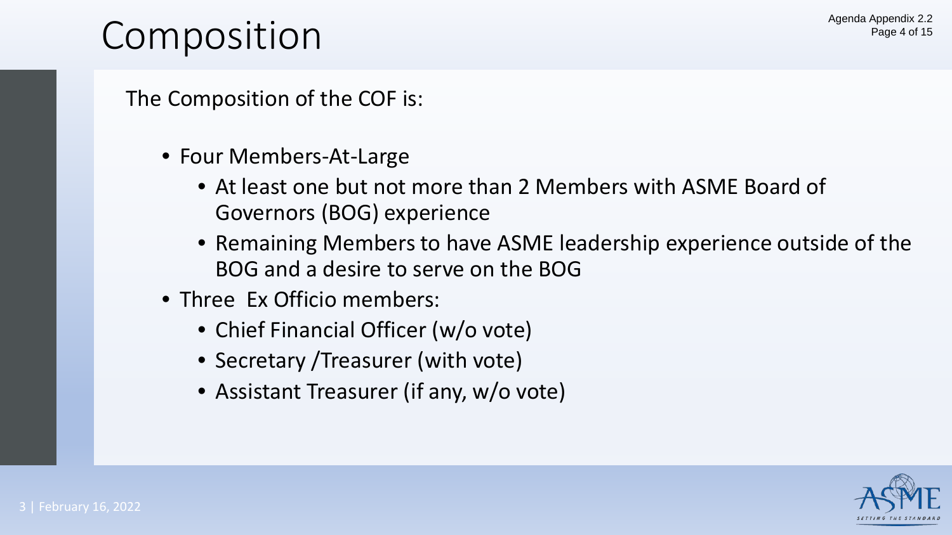### Composition

The Composition of the COF is:

- Four Members-At-Large
	- At least one but not more than 2 Members with ASME Board of Governors (BOG) experience
	- Remaining Members to have ASME leadership experience outside of the BOG and a desire to serve on the BOG
- Three Ex Officio members:
	- Chief Financial Officer (w/o vote)
	- Secretary / Treasurer (with vote)
	- Assistant Treasurer (if any, w/o vote)

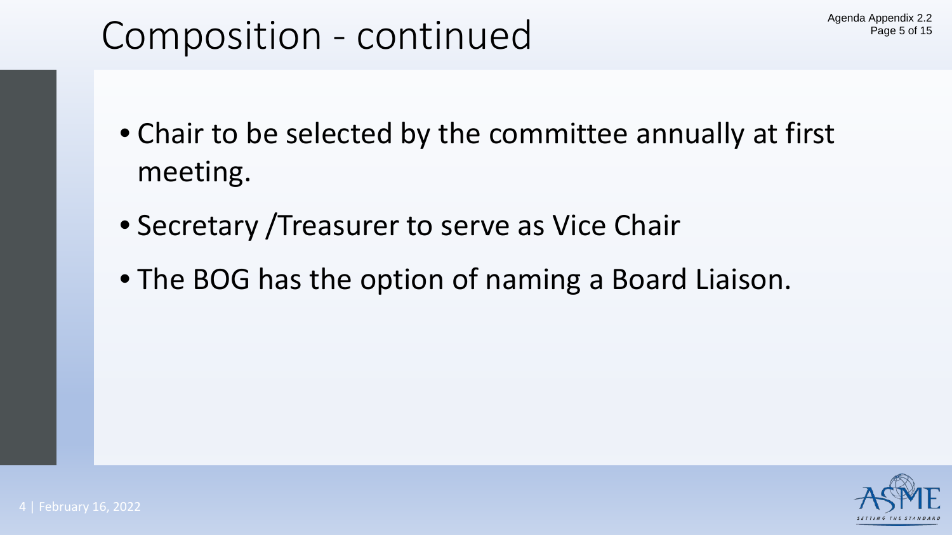### Composition - continued

- Chair to be selected by the committee annually at first meeting.
- Secretary /Treasurer to serve as Vice Chair
- The BOG has the option of naming a Board Liaison.

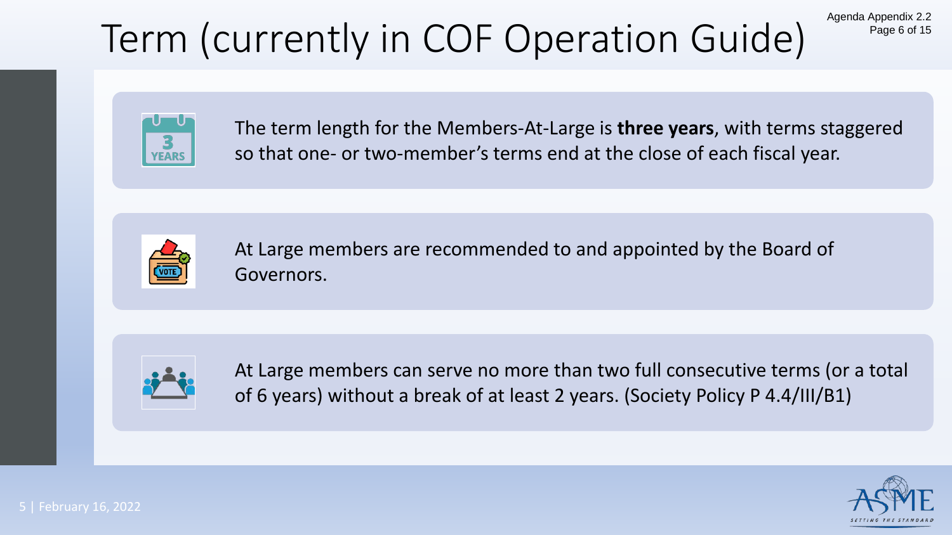# Term (currently in COF Operation Guide)



The term length for the Members-At-Large is **three years**, with terms staggered so that one- or two-member's terms end at the close of each fiscal year.



At Large members are recommended to and appointed by the Board of Governors.



At Large members can serve no more than two full consecutive terms (or a total of 6 years) without a break of at least 2 years. (Society Policy P 4.4/III/B1)



Agenda Appendix 2.2

Page 6 of 15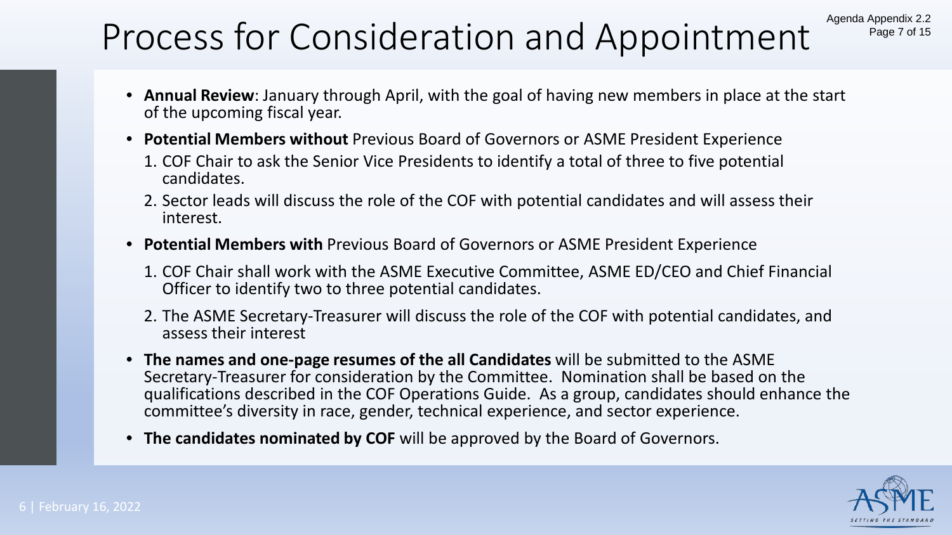### Process for Consideration and Appointment Agenda Appendix 2.2

- **Annual Review**: January through April, with the goal of having new members in place at the start of the upcoming fiscal year.
- **Potential Members without** Previous Board of Governors or ASME President Experience
	- 1. COF Chair to ask the Senior Vice Presidents to identify a total of three to five potential candidates.
	- 2. Sector leads will discuss the role of the COF with potential candidates and will assess their interest.
- **Potential Members with** Previous Board of Governors or ASME President Experience
	- 1. COF Chair shall work with the ASME Executive Committee, ASME ED/CEO and Chief Financial Officer to identify two to three potential candidates.
	- 2. The ASME Secretary-Treasurer will discuss the role of the COF with potential candidates, and assess their interest
- **The names and one-page resumes of the all Candidates** will be submitted to the ASME Secretary-Treasurer for consideration by the Committee. Nomination shall be based on the qualifications described in the COF Operations Guide. As a group, candidates should enhance the committee's diversity in race, gender, technical experience, and sector experience.
- **The candidates nominated by COF** will be approved by the Board of Governors.



Page 7 of 15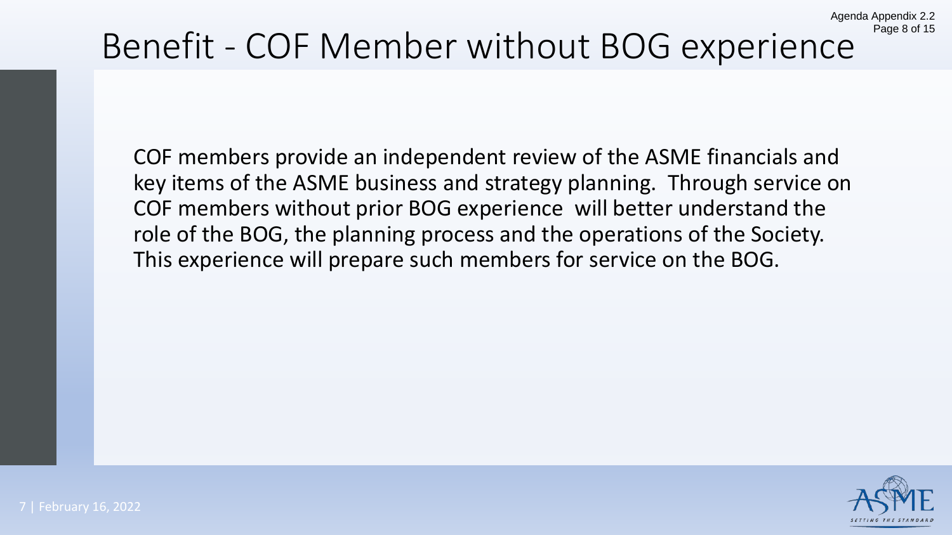# Benefit - COF Member without BOG experience

COF members provide an independent review of the ASME financials and key items of the ASME business and strategy planning. Through service on COF members without prior BOG experience will better understand the role of the BOG, the planning process and the operations of the Society. This experience will prepare such members for service on the BOG.



Agenda Appendix 2.2

Page 8 of 15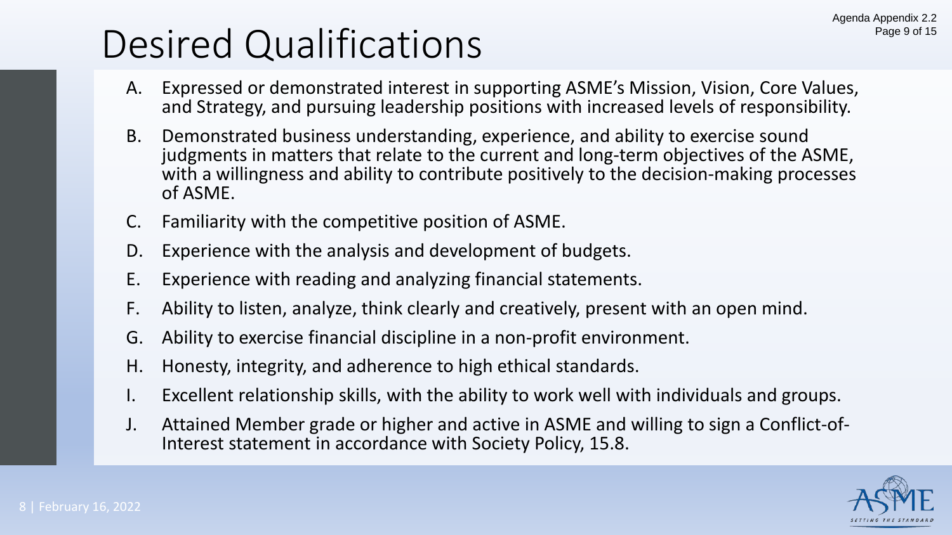### Desired Qualifications

- A. Expressed or demonstrated interest in supporting ASME's Mission, Vision, Core Values, and Strategy, and pursuing leadership positions with increased levels of responsibility.
- B. Demonstrated business understanding, experience, and ability to exercise sound judgments in matters that relate to the current and long-term objectives of the ASME, with a willingness and ability to contribute positively to the decision-making processes of ASME.
- C. Familiarity with the competitive position of ASME.
- D. Experience with the analysis and development of budgets.
- E. Experience with reading and analyzing financial statements.
- F. Ability to listen, analyze, think clearly and creatively, present with an open mind.
- G. Ability to exercise financial discipline in a non-profit environment.
- H. Honesty, integrity, and adherence to high ethical standards.
- Excellent relationship skills, with the ability to work well with individuals and groups.
- J. Attained Member grade or higher and active in ASME and willing to sign a Conflict-of- Interest statement in accordance with Society Policy, 15.8.

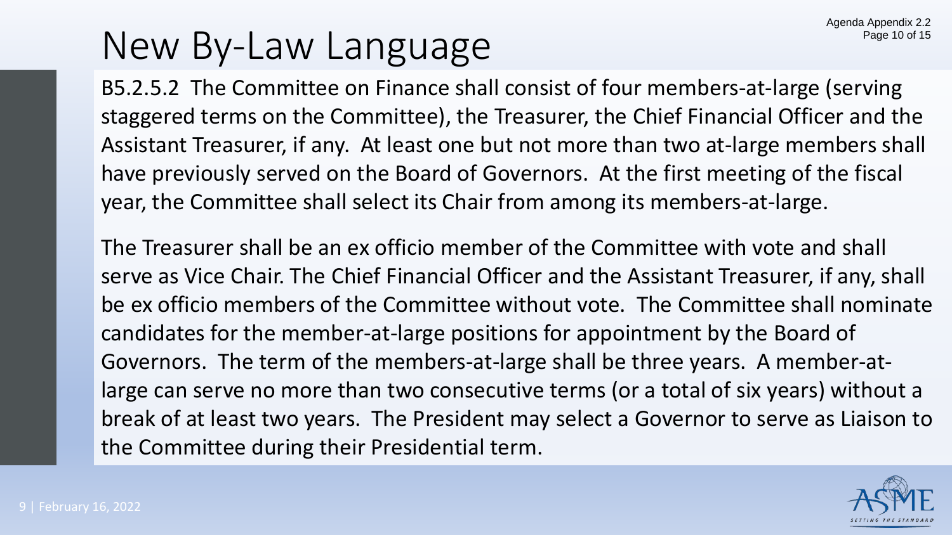### New By-Law Language

B5.2.5.2 The Committee on Finance shall consist of four members-at-large (serving staggered terms on the Committee), the Treasurer, the Chief Financial Officer and the Assistant Treasurer, if any. At least one but not more than two at-large members shall have previously served on the Board of Governors. At the first meeting of the fiscal year, the Committee shall select its Chair from among its members-at-large.

The Treasurer shall be an ex officio member of the Committee with vote and shall serve as Vice Chair. The Chief Financial Officer and the Assistant Treasurer, if any, shall be ex officio members of the Committee without vote. The Committee shall nominate candidates for the member-at-large positions for appointment by the Board of Governors. The term of the members-at-large shall be three years. A member-atlarge can serve no more than two consecutive terms (or a total of six years) without a break of at least two years. The President may select a Governor to serve as Liaison to the Committee during their Presidential term.

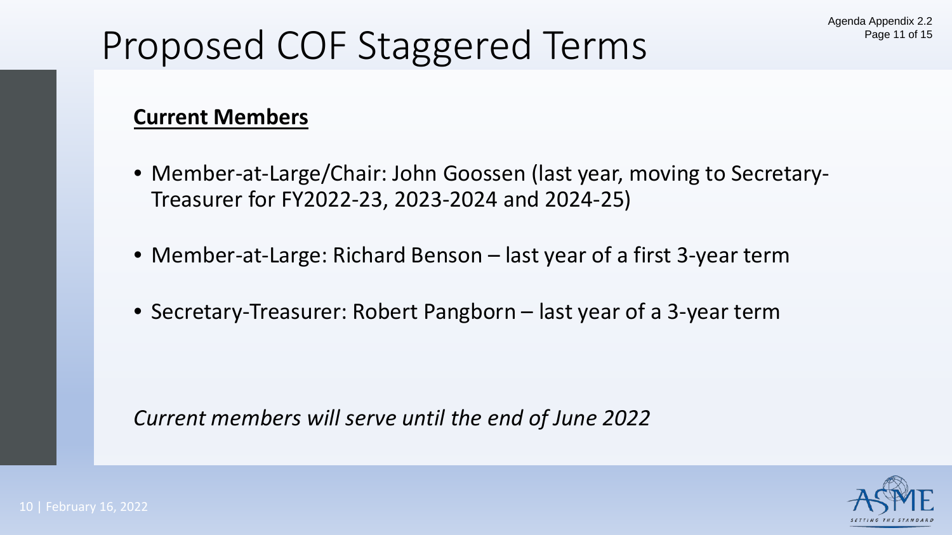# Proposed COF Staggered Terms

### **Current Members**

- Member-at-Large/Chair: John Goossen (last year, moving to Secretary-Treasurer for FY2022-23, 2023-2024 and 2024-25)
- Member-at-Large: Richard Benson last year of a first 3-year term
- Secretary-Treasurer: Robert Pangborn last year of a 3-year term

*Current members will serve until the end of June 2022*

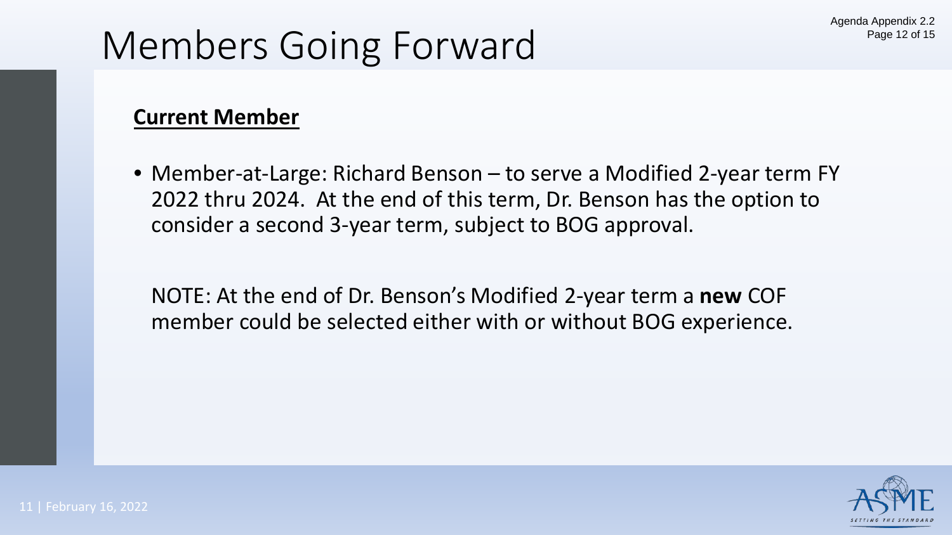# Members Going Forward

### **Current Member**

• Member-at-Large: Richard Benson – to serve a Modified 2-year term FY 2022 thru 2024. At the end of this term, Dr. Benson has the option to consider a second 3-year term, subject to BOG approval.

NOTE: At the end of Dr. Benson's Modified 2-year term a **new** COF member could be selected either with or without BOG experience.

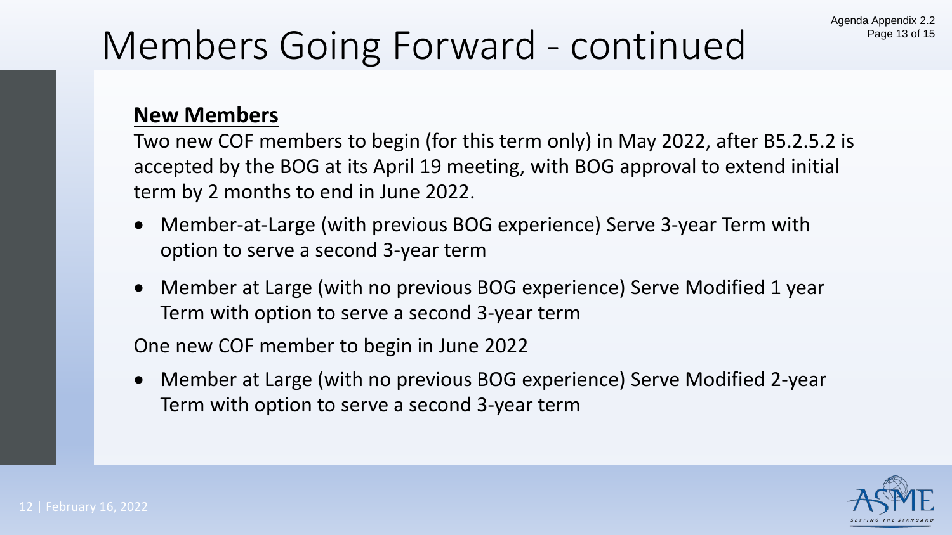## Members Going Forward - continued

### **New Members**

Two new COF members to begin (for this term only) in May 2022, after B5.2.5.2 is accepted by the BOG at its April 19 meeting, with BOG approval to extend initial term by 2 months to end in June 2022.

- Member-at-Large (with previous BOG experience) Serve 3-year Term with option to serve a second 3-year term
- Member at Large (with no previous BOG experience) Serve Modified 1 year Term with option to serve a second 3-year term

One new COF member to begin in June 2022

• Member at Large (with no previous BOG experience) Serve Modified 2-year Term with option to serve a second 3-year term

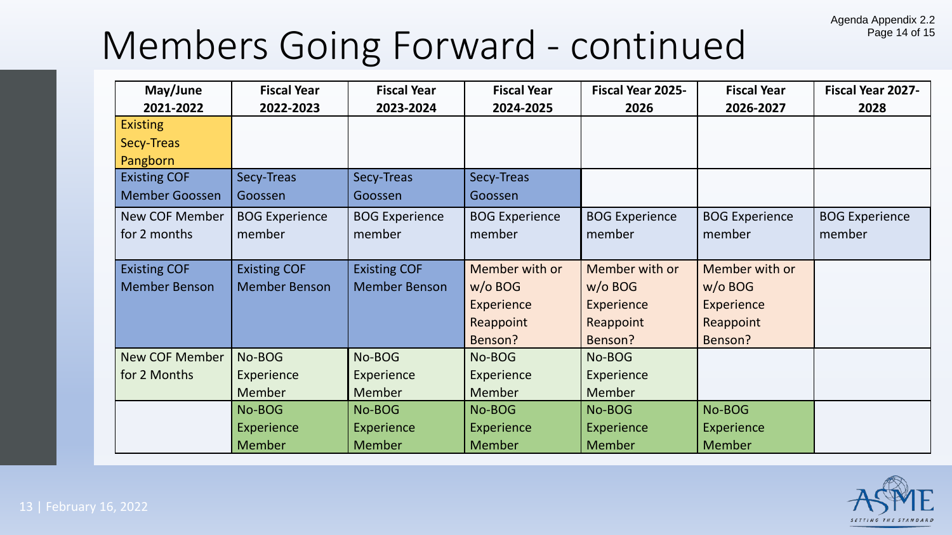#### Agenda Appendix 2.2 Page 14 of 15

### Members Going Forward - continued

| May/June              | <b>Fiscal Year</b>    | <b>Fiscal Year</b>    | <b>Fiscal Year</b>    | <b>Fiscal Year 2025-</b> | <b>Fiscal Year</b>    | <b>Fiscal Year 2027-</b> |
|-----------------------|-----------------------|-----------------------|-----------------------|--------------------------|-----------------------|--------------------------|
| 2021-2022             | 2022-2023             | 2023-2024             | 2024-2025             | 2026                     | 2026-2027             | 2028                     |
| <b>Existing</b>       |                       |                       |                       |                          |                       |                          |
| Secy-Treas            |                       |                       |                       |                          |                       |                          |
| Pangborn              |                       |                       |                       |                          |                       |                          |
| <b>Existing COF</b>   | Secy-Treas            | Secy-Treas            | Secy-Treas            |                          |                       |                          |
| <b>Member Goossen</b> | Goossen               | Goossen               | Goossen               |                          |                       |                          |
| <b>New COF Member</b> | <b>BOG Experience</b> | <b>BOG Experience</b> | <b>BOG Experience</b> | <b>BOG Experience</b>    | <b>BOG Experience</b> | <b>BOG Experience</b>    |
| for 2 months          | member                | member                | member                | member                   | member                | member                   |
|                       |                       |                       |                       |                          |                       |                          |
| <b>Existing COF</b>   | <b>Existing COF</b>   | <b>Existing COF</b>   | Member with or        | Member with or           | Member with or        |                          |
| <b>Member Benson</b>  | <b>Member Benson</b>  | <b>Member Benson</b>  | $w/o$ BOG             | $w/o$ BOG                | $w/o$ BOG             |                          |
|                       |                       |                       | <b>Experience</b>     | Experience               | <b>Experience</b>     |                          |
|                       |                       |                       | Reappoint             | Reappoint                | Reappoint             |                          |
|                       |                       |                       | Benson?               | Benson?                  | Benson?               |                          |
| <b>New COF Member</b> | No-BOG                | No-BOG                | No-BOG                | No-BOG                   |                       |                          |
| for 2 Months          | <b>Experience</b>     | Experience            | <b>Experience</b>     | Experience               |                       |                          |
|                       | <b>Member</b>         | Member                | Member                | <b>Member</b>            |                       |                          |
|                       | No-BOG                | No-BOG                | No-BOG                | No-BOG                   | No-BOG                |                          |
|                       | Experience            | Experience            | Experience            | Experience               | Experience            |                          |
|                       | <b>Member</b>         | <b>Member</b>         | <b>Member</b>         | <b>Member</b>            | <b>Member</b>         |                          |